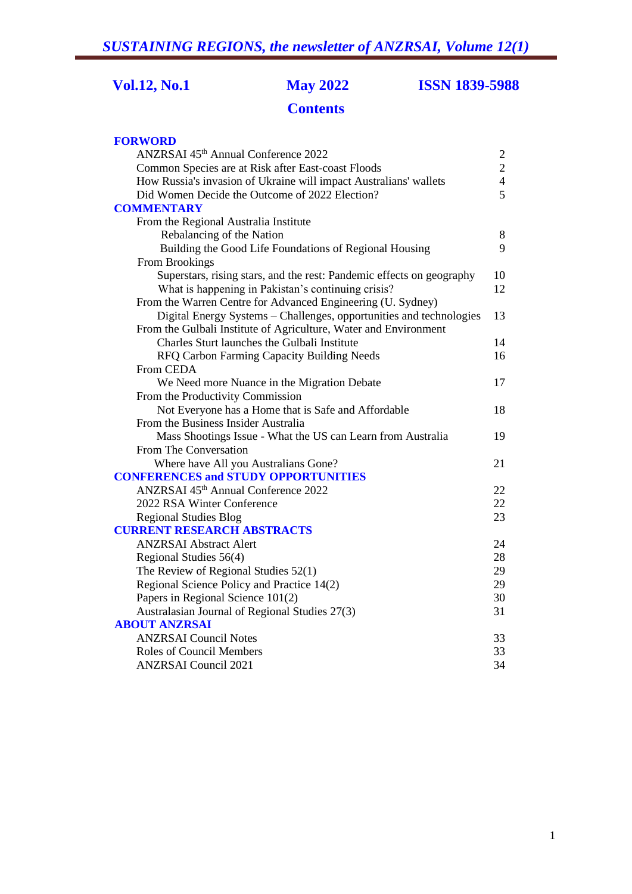**Vol.12, No.1 May 2022 ISSN 1839-5988**

# **Contents**

| <b>FORWORD</b>                                                        |                |
|-----------------------------------------------------------------------|----------------|
| ANZRSAI 45th Annual Conference 2022                                   | $\overline{c}$ |
| Common Species are at Risk after East-coast Floods                    | $\overline{2}$ |
| How Russia's invasion of Ukraine will impact Australians' wallets     | $\overline{4}$ |
| Did Women Decide the Outcome of 2022 Election?                        | 5              |
| <b>COMMENTARY</b>                                                     |                |
| From the Regional Australia Institute                                 |                |
| Rebalancing of the Nation                                             | 8              |
| Building the Good Life Foundations of Regional Housing                | 9              |
| From Brookings                                                        |                |
| Superstars, rising stars, and the rest: Pandemic effects on geography | 10             |
| What is happening in Pakistan's continuing crisis?                    | 12             |
| From the Warren Centre for Advanced Engineering (U. Sydney)           |                |
| Digital Energy Systems - Challenges, opportunities and technologies   | 13             |
| From the Gulbali Institute of Agriculture, Water and Environment      |                |
| Charles Sturt launches the Gulbali Institute                          | 14             |
| RFQ Carbon Farming Capacity Building Needs                            | 16             |
| From CEDA                                                             |                |
| We Need more Nuance in the Migration Debate                           | 17             |
| From the Productivity Commission                                      |                |
| Not Everyone has a Home that is Safe and Affordable                   | 18             |
| From the Business Insider Australia                                   |                |
| Mass Shootings Issue - What the US can Learn from Australia           | 19             |
| From The Conversation                                                 |                |
| Where have All you Australians Gone?                                  | 21             |
| <b>CONFERENCES and STUDY OPPORTUNITIES</b>                            |                |
| ANZRSAI 45 <sup>th</sup> Annual Conference 2022                       | 22             |
| 2022 RSA Winter Conference                                            | 22             |
| <b>Regional Studies Blog</b>                                          | 23             |
| <b>CURRENT RESEARCH ABSTRACTS</b>                                     |                |
| <b>ANZRSAI Abstract Alert</b>                                         | 24             |
| Regional Studies 56(4)                                                | 28             |
| The Review of Regional Studies 52(1)                                  | 29             |
| Regional Science Policy and Practice 14(2)                            | 29             |
| Papers in Regional Science 101(2)                                     | 30             |
| Australasian Journal of Regional Studies 27(3)                        | 31             |
| <b>ABOUT ANZRSAI</b>                                                  |                |
| <b>ANZRSAI</b> Council Notes                                          | 33             |
| Roles of Council Members                                              | 33             |
| <b>ANZRSAI Council 2021</b>                                           | 34             |
|                                                                       |                |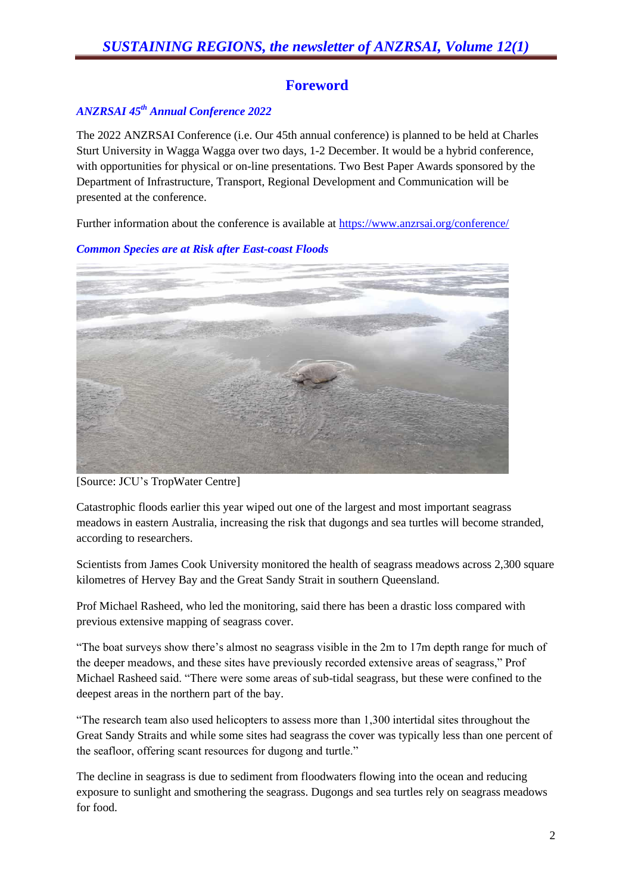# **Foreword**

#### *ANZRSAI 45 th Annual Conference 2022*

The 2022 ANZRSAI Conference (i.e. Our 45th annual conference) is planned to be held at Charles Sturt University in Wagga Wagga over two days, 1-2 December. It would be a hybrid conference, with opportunities for physical or on-line presentations. Two Best Paper Awards sponsored by the Department of Infrastructure, Transport, Regional Development and Communication will be presented at the conference.

Further information about the conference is available at<https://www.anzrsai.org/conference/>



*Common Species are at Risk after East-coast Floods*

[Source: JCU's TropWater Centre]

Catastrophic floods earlier this year wiped out one of the largest and most important seagrass meadows in eastern Australia, increasing the risk that dugongs and sea turtles will become stranded, according to researchers.

Scientists from James Cook University monitored the health of seagrass meadows across 2,300 square kilometres of Hervey Bay and the Great Sandy Strait in southern Queensland.

Prof Michael Rasheed, who led the monitoring, said there has been a drastic loss compared with previous extensive mapping of seagrass cover.

"The boat surveys show there's almost no seagrass visible in the 2m to 17m depth range for much of the deeper meadows, and these sites have previously recorded extensive areas of seagrass," Prof Michael Rasheed said. "There were some areas of sub-tidal seagrass, but these were confined to the deepest areas in the northern part of the bay.

"The research team also used helicopters to assess more than 1,300 intertidal sites throughout the Great Sandy Straits and while some sites had seagrass the cover was typically less than one percent of the seafloor, offering scant resources for dugong and turtle."

The decline in seagrass is due to sediment from floodwaters flowing into the ocean and reducing exposure to sunlight and smothering the seagrass. Dugongs and sea turtles rely on seagrass meadows for food.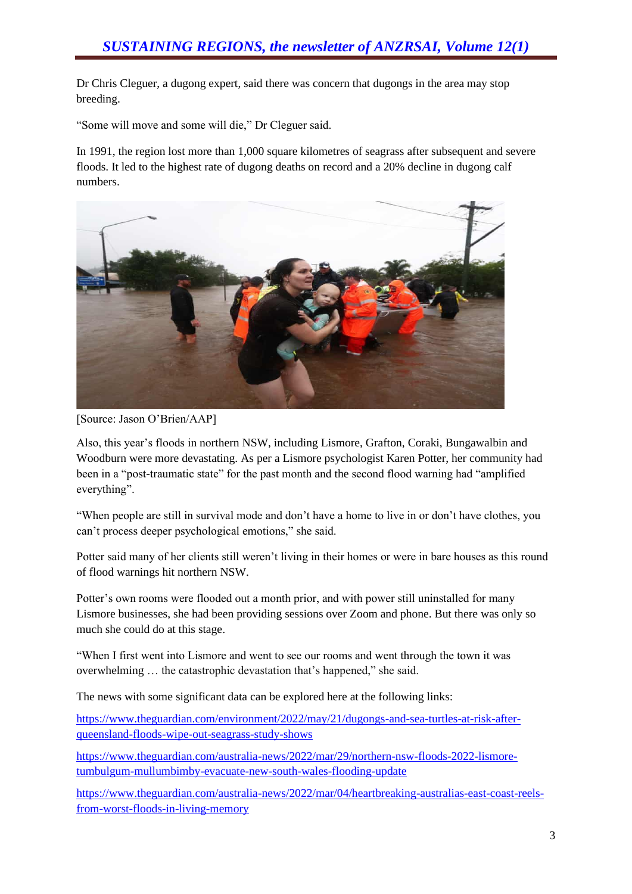Dr Chris Cleguer, a dugong expert, said there was concern that dugongs in the area may stop breeding.

"Some will move and some will die," Dr Cleguer said.

In 1991, the region lost more than 1,000 square kilometres of seagrass after subsequent and severe floods. It led to the highest rate of dugong deaths on record and a 20% decline in dugong calf numbers.



[Source: Jason O'Brien/AAP]

Also, this year's floods in northern NSW, including Lismore, Grafton, Coraki, Bungawalbin and Woodburn were more devastating. As per a Lismore psychologist Karen Potter, her community had been in a "post-traumatic state" for the past month and the second flood warning had "amplified everything".

"When people are still in survival mode and don't have a home to live in or don't have clothes, you can't process deeper psychological emotions," she said.

Potter said many of her clients still weren't living in their homes or were in bare houses as this round of flood warnings hit northern NSW.

Potter's own rooms were flooded out a month prior, and with power still uninstalled for many Lismore businesses, she had been providing sessions over Zoom and phone. But there was only so much she could do at this stage.

"When I first went into Lismore and went to see our rooms and went through the town it was overwhelming … the catastrophic devastation that's happened," she said.

The news with some significant data can be explored here at the following links:

[https://www.theguardian.com/environment/2022/may/21/dugongs-and-sea-turtles-at-risk-after](https://www.theguardian.com/environment/2022/may/21/dugongs-and-sea-turtles-at-risk-after-queensland-floods-wipe-out-seagrass-study-shows)[queensland-floods-wipe-out-seagrass-study-shows](https://www.theguardian.com/environment/2022/may/21/dugongs-and-sea-turtles-at-risk-after-queensland-floods-wipe-out-seagrass-study-shows)

[https://www.theguardian.com/australia-news/2022/mar/29/northern-nsw-floods-2022-lismore](https://www.theguardian.com/australia-news/2022/mar/29/northern-nsw-floods-2022-lismore-tumbulgum-mullumbimby-evacuate-new-south-wales-flooding-update)[tumbulgum-mullumbimby-evacuate-new-south-wales-flooding-update](https://www.theguardian.com/australia-news/2022/mar/29/northern-nsw-floods-2022-lismore-tumbulgum-mullumbimby-evacuate-new-south-wales-flooding-update)

[https://www.theguardian.com/australia-news/2022/mar/04/heartbreaking-australias-east-coast-reels](https://www.theguardian.com/australia-news/2022/mar/04/heartbreaking-australias-east-coast-reels-from-worst-floods-in-living-memory)[from-worst-floods-in-living-memory](https://www.theguardian.com/australia-news/2022/mar/04/heartbreaking-australias-east-coast-reels-from-worst-floods-in-living-memory)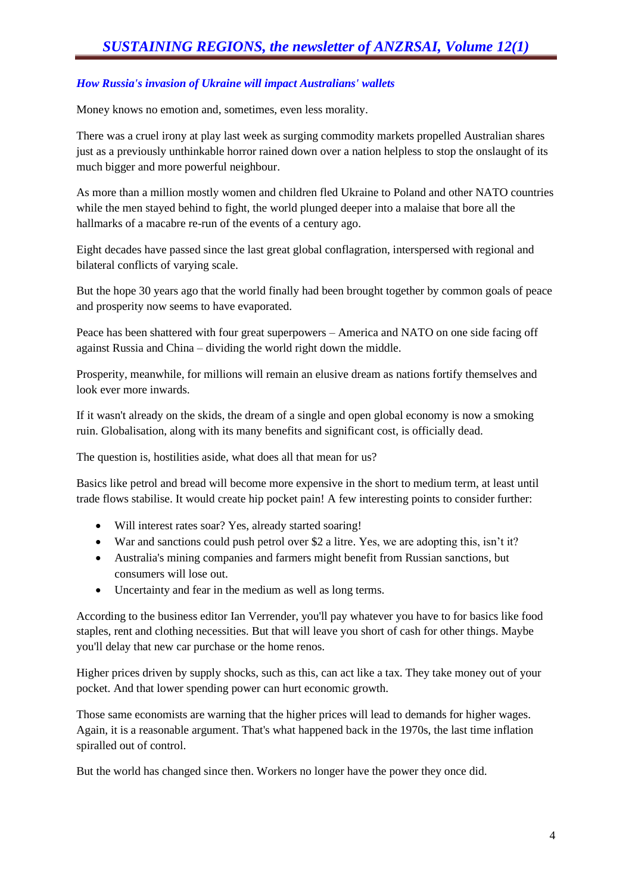#### *How Russia's invasion of Ukraine will impact Australians' wallets*

Money knows no emotion and, sometimes, even less morality.

There was a cruel irony at play last week as surging commodity markets propelled Australian shares just as a previously unthinkable horror rained down over a nation helpless to stop the onslaught of its much bigger and more powerful neighbour.

As more than a million mostly women and children fled Ukraine to Poland and other NATO countries while the men stayed behind to fight, the world plunged deeper into a malaise that bore all the hallmarks of a macabre re-run of the events of a century ago.

Eight decades have passed since the last great global conflagration, interspersed with regional and bilateral conflicts of varying scale.

But the hope 30 years ago that the world finally had been brought together by common goals of peace and prosperity now seems to have evaporated.

Peace has been shattered with four great superpowers – America and NATO on one side facing off against Russia and China – dividing the world right down the middle.

Prosperity, meanwhile, for millions will remain an elusive dream as nations fortify themselves and look ever more inwards.

If it wasn't already on the skids, the dream of a single and open global economy is now a smoking ruin. Globalisation, along with its many benefits and significant cost, is officially dead.

The question is, hostilities aside, what does all that mean for us?

Basics like petrol and bread will become more expensive in the short to medium term, at least until trade flows stabilise. It would create hip pocket pain! A few interesting points to consider further:

- Will interest rates soar? Yes, already started soaring!
- War and sanctions could push petrol over \$2 a litre. Yes, we are adopting this, isn't it?
- Australia's mining companies and farmers might benefit from Russian sanctions, but consumers will lose out.
- Uncertainty and fear in the medium as well as long terms.

According to the business editor Ian Verrender, you'll pay whatever you have to for basics like food staples, rent and clothing necessities. But that will leave you short of cash for other things. Maybe you'll delay that new car purchase or the home renos.

Higher prices driven by supply shocks, such as this, can act like a tax. They take money out of your pocket. And that lower spending power can hurt economic growth.

Those same economists are warning that the higher prices will lead to demands for higher wages. Again, it is a reasonable argument. That's what happened back in the 1970s, the last time inflation spiralled out of control.

But the world has changed since then. Workers no longer have the power they once did.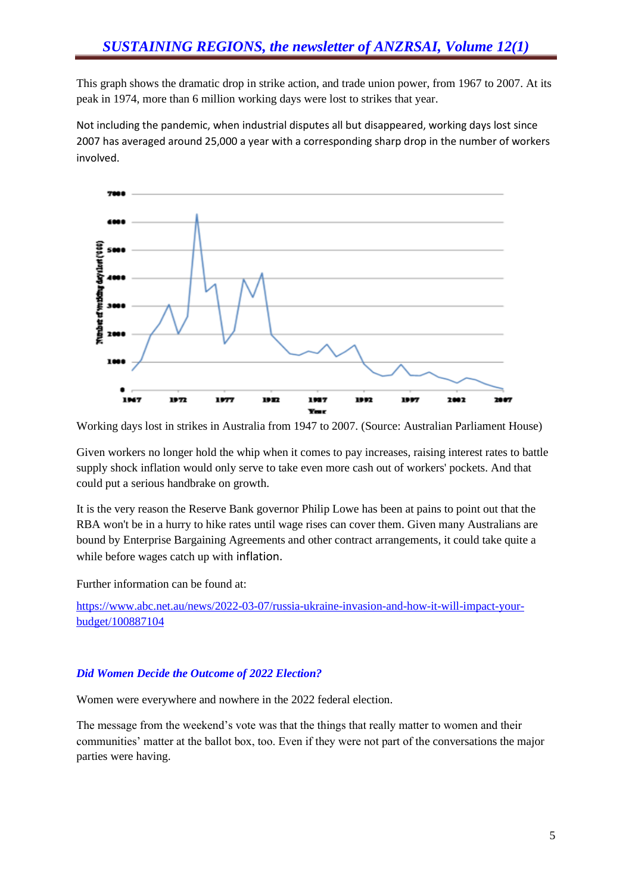This graph shows the dramatic drop in strike action, and trade union power, from 1967 to 2007. At its peak in 1974, more than 6 million working days were lost to strikes that year.

Not including the pandemic, when industrial disputes all but disappeared, working days lost since 2007 has averaged around 25,000 a year with a corresponding sharp drop in the number of workers involved.



Working days lost in strikes in Australia from 1947 to 2007. (Source: Australian Parliament House)

Given workers no longer hold the whip when it comes to pay increases, raising interest rates to battle supply shock inflation would only serve to take even more cash out of workers' pockets. And that could put a serious handbrake on growth.

It is the very reason the Reserve Bank governor Philip Lowe has been at pains to point out that the RBA won't be in a hurry to hike rates until wage rises can cover them. Given many Australians are bound by Enterprise Bargaining Agreements and other contract arrangements, it could take quite a while before wages catch up with inflation.

Further information can be found at:

[https://www.abc.net.au/news/2022-03-07/russia-ukraine-invasion-and-how-it-will-impact-your](https://www.abc.net.au/news/2022-03-07/russia-ukraine-invasion-and-how-it-will-impact-your-budget/100887104)[budget/100887104](https://www.abc.net.au/news/2022-03-07/russia-ukraine-invasion-and-how-it-will-impact-your-budget/100887104)

#### *Did Women Decide the Outcome of 2022 Election?*

Women were everywhere and nowhere in the 2022 federal election.

The message from the weekend's vote was that the things that really matter to women and their communities' matter at the ballot box, too. Even if they were not part of the conversations the major parties were having.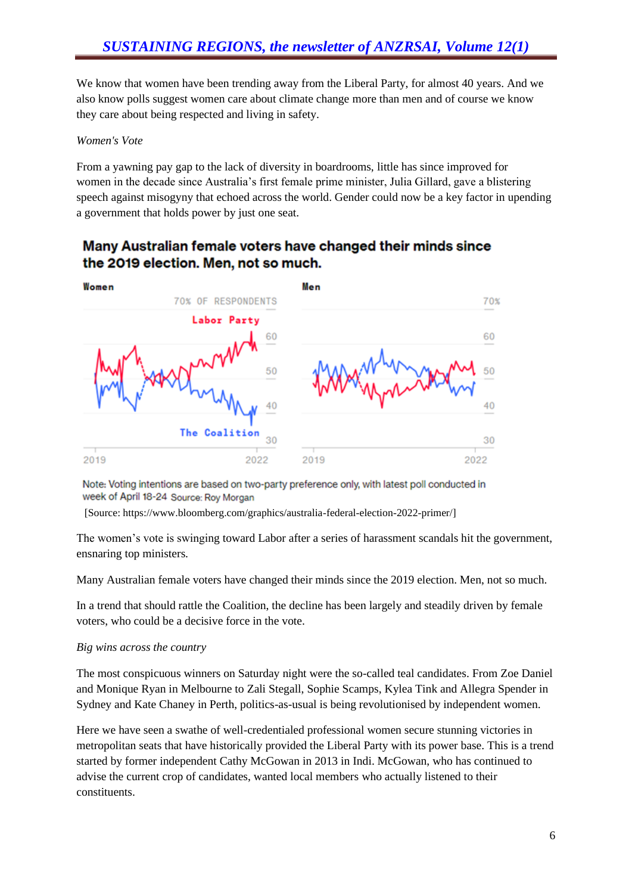We know that women have been trending away from the Liberal Party, for almost 40 years. And we also know polls suggest women care about climate change more than men and of course we know they care about being respected and living in safety.

#### *Women's Vote*

From a yawning pay gap to the lack of diversity in boardrooms, little has since improved for women in the decade since Australia's first female prime minister, Julia Gillard, gave a blistering speech against misogyny that echoed across the world. Gender could now be a key factor in upending a government that holds power by just one seat.

# Many Australian female voters have changed their minds since the 2019 election. Men, not so much.



Note: Voting intentions are based on two-party preference only, with latest poll conducted in week of April 18-24 Source: Roy Morgan

[Source: https://www.bloomberg.com/graphics/australia-federal-election-2022-primer/]

The women's vote is swinging toward Labor after a series of harassment scandals hit the government, ensnaring top ministers.

Many Australian female voters have changed their minds since the 2019 election. Men, not so much.

In a trend that should rattle the Coalition, the decline has been largely and steadily driven by female voters, who could be a decisive force in the vote.

#### *Big wins across the country*

The most conspicuous winners on Saturday night were the so-called teal candidates. From Zoe Daniel and Monique Ryan in Melbourne to Zali Stegall, Sophie Scamps, Kylea Tink and Allegra Spender in Sydney and Kate Chaney in Perth, politics-as-usual is being revolutionised by independent women.

Here we have seen a swathe of well-credentialed professional women secure stunning victories in metropolitan seats that have historically provided the Liberal Party with its power base. This is a trend started by former independent Cathy McGowan in 2013 in Indi. McGowan, who has continued to advise the current crop of candidates, wanted local members who actually listened to their constituents.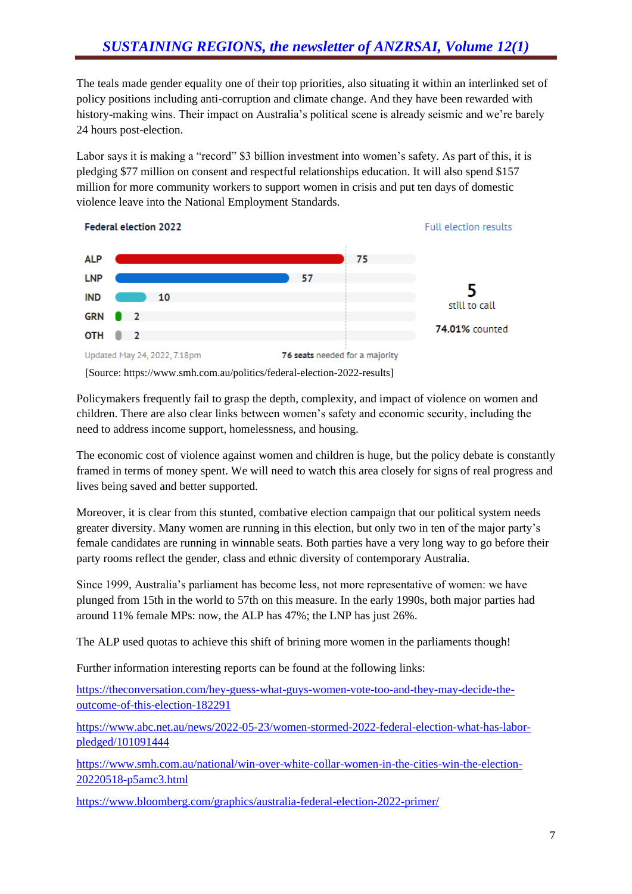The teals made gender equality one of their top priorities, also situating it within an interlinked set of policy positions including anti-corruption and climate change. And they have been rewarded with history-making wins. Their impact on Australia's political scene is already seismic and we're barely 24 hours post-election.

Labor says it is making a "record" \$3 billion investment into women's safety. As part of this, it is pledging \$77 million on consent and respectful relationships education. It will also spend \$157 million for more community workers to support women in crisis and put ten days of domestic violence leave into the National Employment Standards.



[Source: https://www.smh.com.au/politics/federal-election-2022-results]

Policymakers frequently fail to grasp the depth, complexity, and impact of violence on women and children. There are also clear links between women's safety and economic security, including the need to address income support, homelessness, and housing.

The economic cost of violence against women and children is huge, but the policy debate is constantly framed in terms of money spent. We will need to watch this area closely for signs of real progress and lives being saved and better supported.

Moreover, it is clear from this stunted, combative election campaign that our political system needs greater diversity. Many women are running in this election, but only two in ten of the major party's female candidates are running in winnable seats. Both parties have a very long way to go before their party rooms reflect the gender, class and ethnic diversity of contemporary Australia.

Since 1999, Australia's parliament has become less, not more representative of women: we have plunged from 15th in the world to 57th on this measure. In the early 1990s, both major parties had around 11% female MPs: now, the ALP has 47%; the LNP has just 26%.

The ALP used quotas to achieve this shift of brining more women in the parliaments though!

Further information interesting reports can be found at the following links:

[https://theconversation.com/hey-guess-what-guys-women-vote-too-and-they-may-decide-the](https://theconversation.com/hey-guess-what-guys-women-vote-too-and-they-may-decide-the-outcome-of-this-election-182291)[outcome-of-this-election-182291](https://theconversation.com/hey-guess-what-guys-women-vote-too-and-they-may-decide-the-outcome-of-this-election-182291)

[https://www.abc.net.au/news/2022-05-23/women-stormed-2022-federal-election-what-has-labor](https://www.abc.net.au/news/2022-05-23/women-stormed-2022-federal-election-what-has-labor-pledged/101091444)[pledged/101091444](https://www.abc.net.au/news/2022-05-23/women-stormed-2022-federal-election-what-has-labor-pledged/101091444)

[https://www.smh.com.au/national/win-over-white-collar-women-in-the-cities-win-the-election-](https://www.smh.com.au/national/win-over-white-collar-women-in-the-cities-win-the-election-20220518-p5amc3.html)[20220518-p5amc3.html](https://www.smh.com.au/national/win-over-white-collar-women-in-the-cities-win-the-election-20220518-p5amc3.html)

<https://www.bloomberg.com/graphics/australia-federal-election-2022-primer/>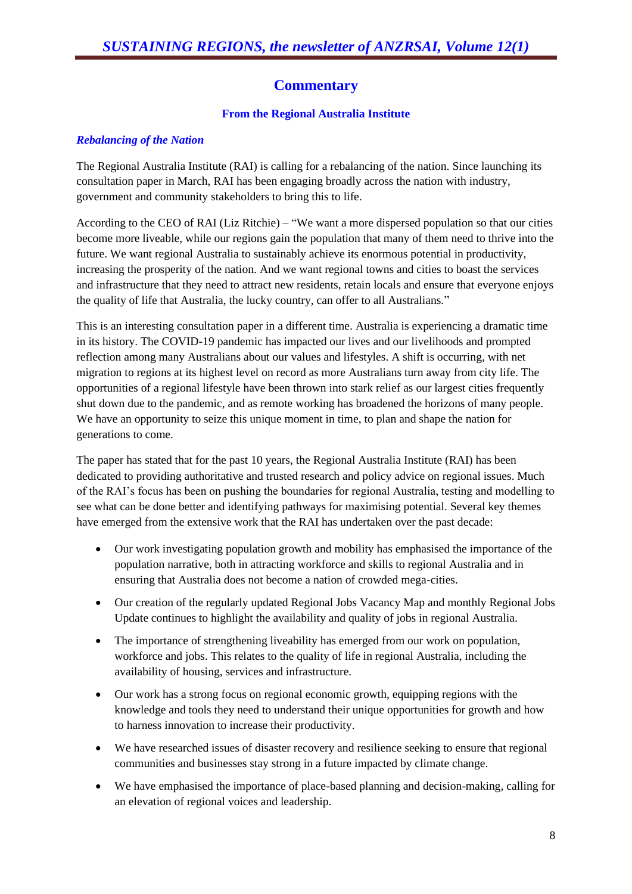# **Commentary**

#### **From the Regional Australia Institute**

#### *Rebalancing of the Nation*

The Regional Australia Institute (RAI) is calling for a rebalancing of the nation. Since launching its consultation paper in March, RAI has been engaging broadly across the nation with industry, government and community stakeholders to bring this to life.

According to the CEO of RAI (Liz Ritchie) – "We want a more dispersed population so that our cities become more liveable, while our regions gain the population that many of them need to thrive into the future. We want regional Australia to sustainably achieve its enormous potential in productivity, increasing the prosperity of the nation. And we want regional towns and cities to boast the services and infrastructure that they need to attract new residents, retain locals and ensure that everyone enjoys the quality of life that Australia, the lucky country, can offer to all Australians."

This is an interesting consultation paper in a different time. Australia is experiencing a dramatic time in its history. The COVID-19 pandemic has impacted our lives and our livelihoods and prompted reflection among many Australians about our values and lifestyles. A shift is occurring, with net migration to regions at its highest level on record as more Australians turn away from city life. The opportunities of a regional lifestyle have been thrown into stark relief as our largest cities frequently shut down due to the pandemic, and as remote working has broadened the horizons of many people. We have an opportunity to seize this unique moment in time, to plan and shape the nation for generations to come.

The paper has stated that for the past 10 years, the Regional Australia Institute (RAI) has been dedicated to providing authoritative and trusted research and policy advice on regional issues. Much of the RAI's focus has been on pushing the boundaries for regional Australia, testing and modelling to see what can be done better and identifying pathways for maximising potential. Several key themes have emerged from the extensive work that the RAI has undertaken over the past decade:

- Our work investigating population growth and mobility has emphasised the importance of the population narrative, both in attracting workforce and skills to regional Australia and in ensuring that Australia does not become a nation of crowded mega-cities.
- Our creation of the regularly updated Regional Jobs Vacancy Map and monthly Regional Jobs Update continues to highlight the availability and quality of jobs in regional Australia.
- The importance of strengthening liveability has emerged from our work on population, workforce and jobs. This relates to the quality of life in regional Australia, including the availability of housing, services and infrastructure.
- Our work has a strong focus on regional economic growth, equipping regions with the knowledge and tools they need to understand their unique opportunities for growth and how to harness innovation to increase their productivity.
- We have researched issues of disaster recovery and resilience seeking to ensure that regional communities and businesses stay strong in a future impacted by climate change.
- We have emphasised the importance of place-based planning and decision-making, calling for an elevation of regional voices and leadership.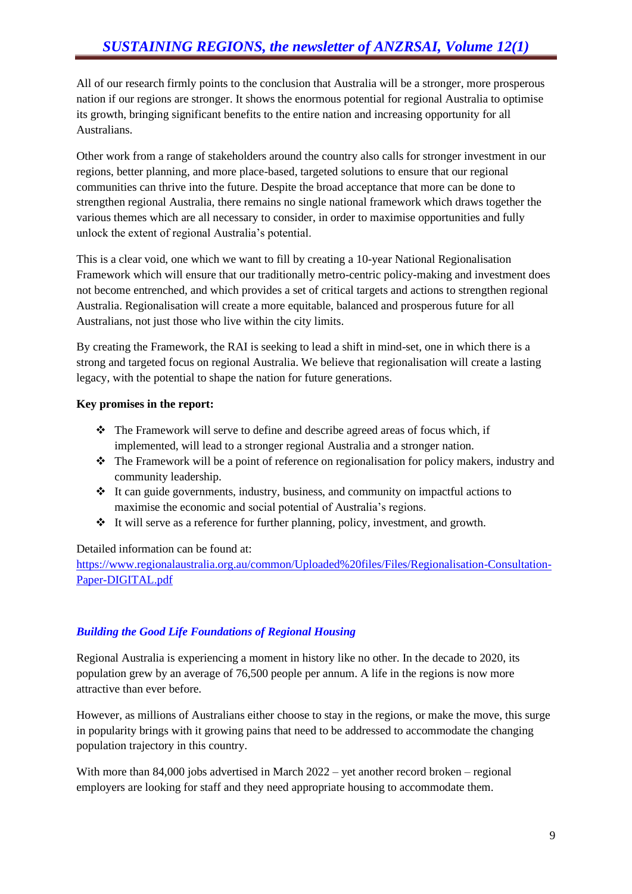All of our research firmly points to the conclusion that Australia will be a stronger, more prosperous nation if our regions are stronger. It shows the enormous potential for regional Australia to optimise its growth, bringing significant benefits to the entire nation and increasing opportunity for all Australians.

Other work from a range of stakeholders around the country also calls for stronger investment in our regions, better planning, and more place-based, targeted solutions to ensure that our regional communities can thrive into the future. Despite the broad acceptance that more can be done to strengthen regional Australia, there remains no single national framework which draws together the various themes which are all necessary to consider, in order to maximise opportunities and fully unlock the extent of regional Australia's potential.

This is a clear void, one which we want to fill by creating a 10-year National Regionalisation Framework which will ensure that our traditionally metro-centric policy-making and investment does not become entrenched, and which provides a set of critical targets and actions to strengthen regional Australia. Regionalisation will create a more equitable, balanced and prosperous future for all Australians, not just those who live within the city limits.

By creating the Framework, the RAI is seeking to lead a shift in mind-set, one in which there is a strong and targeted focus on regional Australia. We believe that regionalisation will create a lasting legacy, with the potential to shape the nation for future generations.

#### **Key promises in the report:**

- ❖ The Framework will serve to define and describe agreed areas of focus which, if implemented, will lead to a stronger regional Australia and a stronger nation.
- ❖ The Framework will be a point of reference on regionalisation for policy makers, industry and community leadership.
- ❖ It can guide governments, industry, business, and community on impactful actions to maximise the economic and social potential of Australia's regions.
- ❖ It will serve as a reference for further planning, policy, investment, and growth.

#### Detailed information can be found at:

[https://www.regionalaustralia.org.au/common/Uploaded%20files/Files/Regionalisation-Consultation-](https://www.regionalaustralia.org.au/common/Uploaded%20files/Files/Regionalisation-Consultation-Paper-DIGITAL.pdf)[Paper-DIGITAL.pdf](https://www.regionalaustralia.org.au/common/Uploaded%20files/Files/Regionalisation-Consultation-Paper-DIGITAL.pdf)

#### *Building the Good Life Foundations of Regional Housing*

Regional Australia is experiencing a moment in history like no other. In the decade to 2020, its population grew by an average of 76,500 people per annum. A life in the regions is now more attractive than ever before.

However, as millions of Australians either choose to stay in the regions, or make the move, this surge in popularity brings with it growing pains that need to be addressed to accommodate the changing population trajectory in this country.

With more than 84,000 jobs advertised in March 2022 – yet another record broken – regional employers are looking for staff and they need appropriate housing to accommodate them.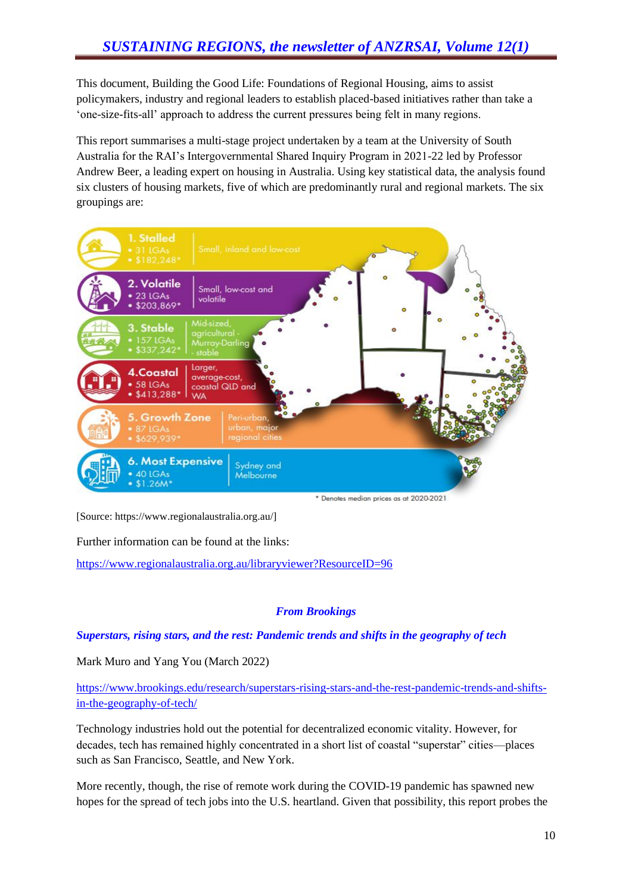This document, Building the Good Life: Foundations of Regional Housing, aims to assist policymakers, industry and regional leaders to establish placed-based initiatives rather than take a 'one-size-fits-all' approach to address the current pressures being felt in many regions.

This report summarises a multi-stage project undertaken by a team at the University of South Australia for the RAI's Intergovernmental Shared Inquiry Program in 2021-22 led by Professor Andrew Beer, a leading expert on housing in Australia. Using key statistical data, the analysis found six clusters of housing markets, five of which are predominantly rural and regional markets. The six groupings are:



[Source: https://www.regionalaustralia.org.au/]

Further information can be found at the links:

<https://www.regionalaustralia.org.au/libraryviewer?ResourceID=96>

#### *From Brookings*

*Superstars, rising stars, and the rest: Pandemic trends and shifts in the geography of tech*

Mark Muro and Yang You (March 2022)

[https://www.brookings.edu/research/superstars-rising-stars-and-the-rest-pandemic-trends-and-shifts](https://www.brookings.edu/research/superstars-rising-stars-and-the-rest-pandemic-trends-and-shifts-in-the-geography-of-tech/)[in-the-geography-of-tech/](https://www.brookings.edu/research/superstars-rising-stars-and-the-rest-pandemic-trends-and-shifts-in-the-geography-of-tech/)

Technology industries hold out the potential for decentralized economic vitality. However, for decades, tech has remained highly concentrated in a short list of coastal "superstar" cities—places such as San Francisco, Seattle, and New York.

More recently, though, the rise of remote work during the COVID-19 pandemic has spawned new hopes for the spread of tech jobs into the U.S. heartland. Given that possibility, this report probes the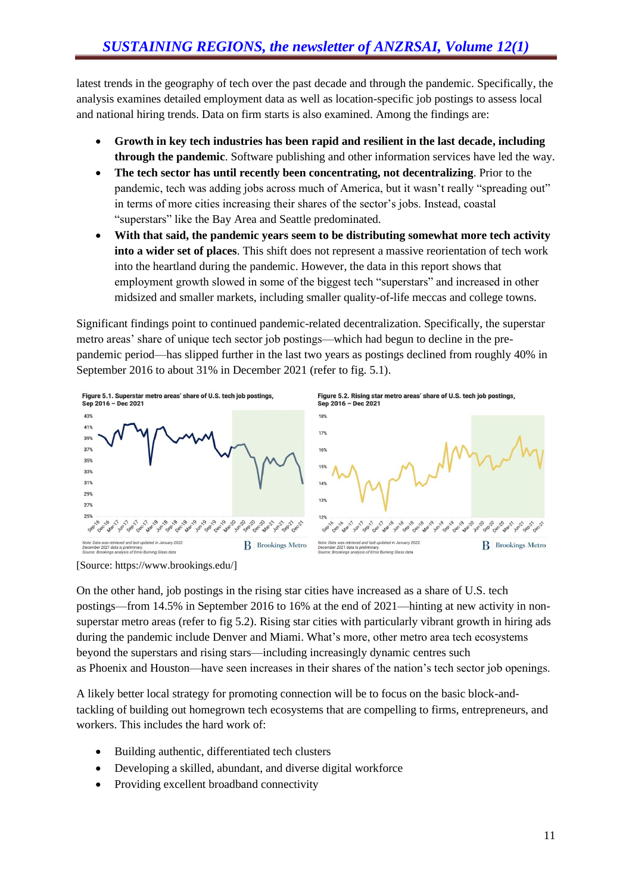latest trends in the geography of tech over the past decade and through the pandemic. Specifically, the analysis examines detailed employment data as well as location-specific job postings to assess local and national hiring trends. Data on firm starts is also examined. Among the findings are:

- **Growth in key tech industries has been rapid and resilient in the last decade, including through the pandemic**. Software publishing and other information services have led the way.
- **The tech sector has until recently been concentrating, not decentralizing**. Prior to the pandemic, tech was adding jobs across much of America, but it wasn't really "spreading out" in terms of more cities increasing their shares of the sector's jobs. Instead, coastal "superstars" like the Bay Area and Seattle predominated.
- **With that said, the pandemic years seem to be distributing somewhat more tech activity into a wider set of places**. This shift does not represent a massive reorientation of tech work into the heartland during the pandemic. However, the data in this report shows that employment growth slowed in some of the biggest tech "superstars" and increased in other midsized and smaller markets, including smaller quality-of-life meccas and college towns.

Significant findings point to continued pandemic-related decentralization. Specifically, the superstar metro areas' share of unique tech sector job postings—which had begun to decline in the prepandemic period—has slipped further in the last two years as postings declined from roughly 40% in September 2016 to about 31% in December 2021 (refer to fig. 5.1).



[Source: https://www.brookings.edu/]

On the other hand, job postings in the rising star cities have increased as a share of U.S. tech postings—from 14.5% in September 2016 to 16% at the end of 2021—hinting at new activity in nonsuperstar metro areas (refer to fig 5.2). Rising star cities with particularly vibrant growth in hiring ads during the pandemic include Denver and Miami. What's more, other metro area tech ecosystems beyond the superstars and rising stars—including increasingly dynamic centres such as Phoenix and Houston—have seen increases in their shares of the nation's tech sector job openings.

A likely better local strategy for promoting connection will be to focus on the basic block-andtackling of building out homegrown tech ecosystems that are compelling to firms, entrepreneurs, and workers. This includes the hard work of:

- Building authentic, differentiated tech clusters
- Developing a skilled, abundant, and diverse digital workforce
- Providing excellent broadband connectivity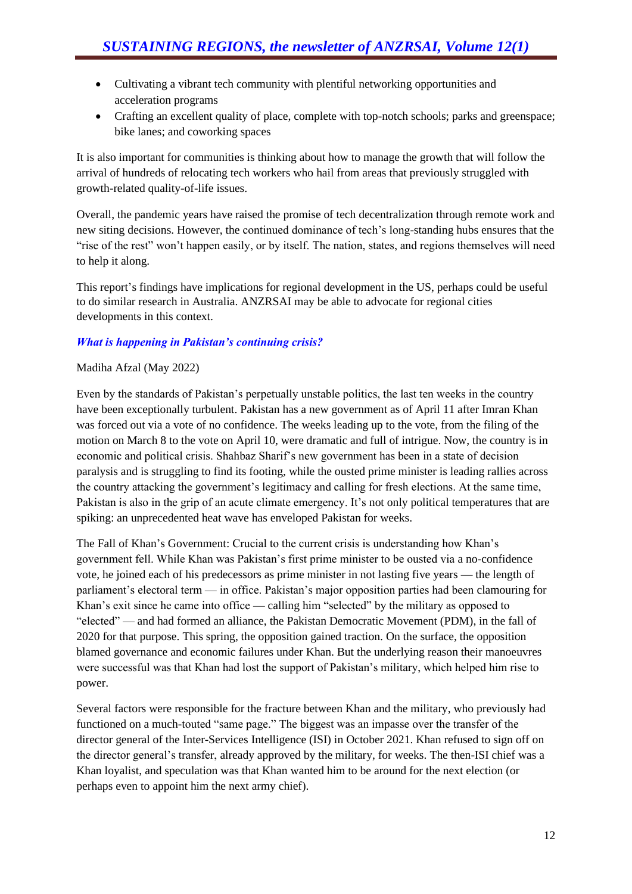- Cultivating a vibrant tech community with plentiful networking opportunities and acceleration programs
- Crafting an excellent quality of place, complete with top-notch schools; parks and greenspace; bike lanes; and coworking spaces

It is also important for communities is thinking about how to manage the growth that will follow the arrival of hundreds of relocating tech workers who hail from areas that previously struggled with growth-related quality-of-life issues.

Overall, the pandemic years have raised the promise of tech decentralization through remote work and new siting decisions. However, the continued dominance of tech's long-standing hubs ensures that the "rise of the rest" won't happen easily, or by itself. The nation, states, and regions themselves will need to help it along.

This report's findings have implications for regional development in the US, perhaps could be useful to do similar research in Australia. ANZRSAI may be able to advocate for regional cities developments in this context.

#### *What is happening in Pakistan's continuing crisis?*

#### Madiha Afzal (May 2022)

Even by the standards of Pakistan's perpetually unstable politics, the last ten weeks in the country have been exceptionally turbulent. Pakistan has a new government as of April 11 after Imran Khan was forced out via a vote of no confidence. The weeks leading up to the vote, from the filing of the motion on March 8 to the vote on April 10, were dramatic and full of intrigue. Now, the country is in economic and political crisis. Shahbaz Sharif's new government has been in a state of decision paralysis and is struggling to find its footing, while the ousted prime minister is leading rallies across the country attacking the government's legitimacy and calling for fresh elections. At the same time, Pakistan is also in the grip of an acute climate emergency. It's not only political temperatures that are spiking: an unprecedented heat wave has enveloped Pakistan for weeks.

The Fall of Khan's Government: Crucial to the current crisis is understanding how Khan's government fell. While Khan was Pakistan's first prime minister to be ousted via a no-confidence vote, he joined each of his predecessors as prime minister in not lasting five years — the length of parliament's electoral term — in office. Pakistan's major opposition parties had been clamouring for Khan's exit since he came into office — calling him "selected" by the military as opposed to "elected" — and had formed an alliance, the Pakistan Democratic Movement (PDM), in the fall of 2020 for that purpose. This spring, the opposition gained traction. On the surface, the opposition blamed governance and economic failures under Khan. But the underlying reason their manoeuvres were successful was that Khan had lost the support of Pakistan's military, which helped him rise to power.

Several factors were responsible for the fracture between Khan and the military, who previously had functioned on a much-touted "same page." The biggest was an impasse over the transfer of the director general of the Inter-Services Intelligence (ISI) in October 2021. Khan refused to sign off on the director general's transfer, already approved by the military, for weeks. The then-ISI chief was a Khan loyalist, and speculation was that Khan wanted him to be around for the next election (or perhaps even to appoint him the next army chief).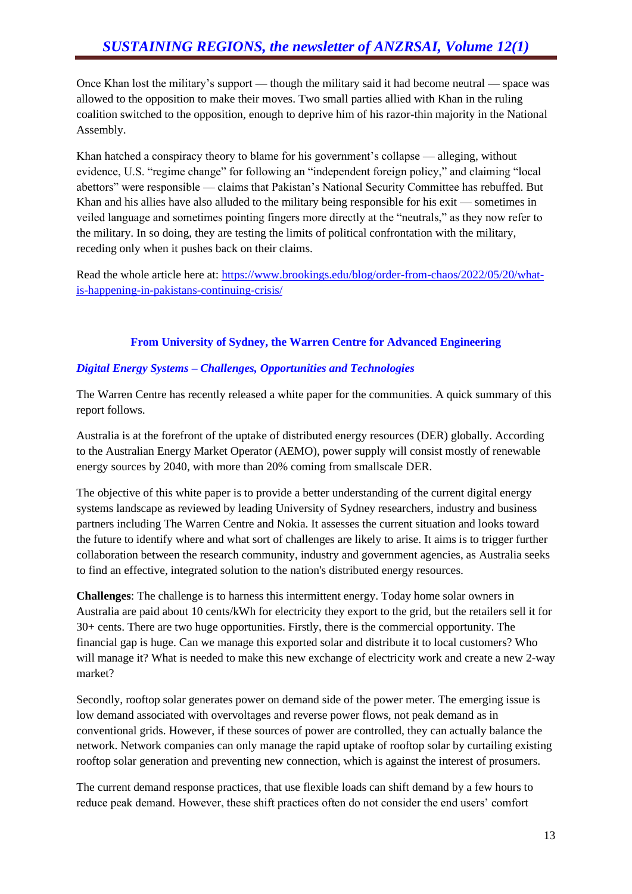Once Khan lost the military's support — though the military said it had become neutral — space was allowed to the opposition to make their moves. Two small parties allied with Khan in the ruling coalition switched to the opposition, enough to deprive him of his razor-thin majority in the National Assembly.

Khan hatched a conspiracy theory to blame for his government's collapse — alleging, without evidence, U.S. "regime change" for following an "independent foreign policy," and claiming "local abettors" were responsible — claims that Pakistan's National Security Committee has rebuffed. But Khan and his allies have also alluded to the military being responsible for his exit — sometimes in veiled language and sometimes pointing fingers more directly at the "neutrals," as they now refer to the military. In so doing, they are testing the limits of political confrontation with the military, receding only when it pushes back on their claims.

Read the whole article here at: [https://www.brookings.edu/blog/order-from-chaos/2022/05/20/what](https://www.brookings.edu/blog/order-from-chaos/2022/05/20/what-is-happening-in-pakistans-continuing-crisis/)[is-happening-in-pakistans-continuing-crisis/](https://www.brookings.edu/blog/order-from-chaos/2022/05/20/what-is-happening-in-pakistans-continuing-crisis/)

#### **From University of Sydney, the Warren Centre for Advanced Engineering**

#### *Digital Energy Systems – Challenges, Opportunities and Technologies*

The Warren Centre has recently released a white paper for the communities. A quick summary of this report follows.

Australia is at the forefront of the uptake of distributed energy resources (DER) globally. According to the Australian Energy Market Operator (AEMO), power supply will consist mostly of renewable energy sources by 2040, with more than 20% coming from smallscale DER.

The objective of this white paper is to provide a better understanding of the current digital energy systems landscape as reviewed by leading University of Sydney researchers, industry and business partners including The Warren Centre and Nokia. It assesses the current situation and looks toward the future to identify where and what sort of challenges are likely to arise. It aims is to trigger further collaboration between the research community, industry and government agencies, as Australia seeks to find an effective, integrated solution to the nation's distributed energy resources.

**Challenges**: The challenge is to harness this intermittent energy. Today home solar owners in Australia are paid about 10 cents/kWh for electricity they export to the grid, but the retailers sell it for 30+ cents. There are two huge opportunities. Firstly, there is the commercial opportunity. The financial gap is huge. Can we manage this exported solar and distribute it to local customers? Who will manage it? What is needed to make this new exchange of electricity work and create a new 2-way market?

Secondly, rooftop solar generates power on demand side of the power meter. The emerging issue is low demand associated with overvoltages and reverse power flows, not peak demand as in conventional grids. However, if these sources of power are controlled, they can actually balance the network. Network companies can only manage the rapid uptake of rooftop solar by curtailing existing rooftop solar generation and preventing new connection, which is against the interest of prosumers.

The current demand response practices, that use flexible loads can shift demand by a few hours to reduce peak demand. However, these shift practices often do not consider the end users' comfort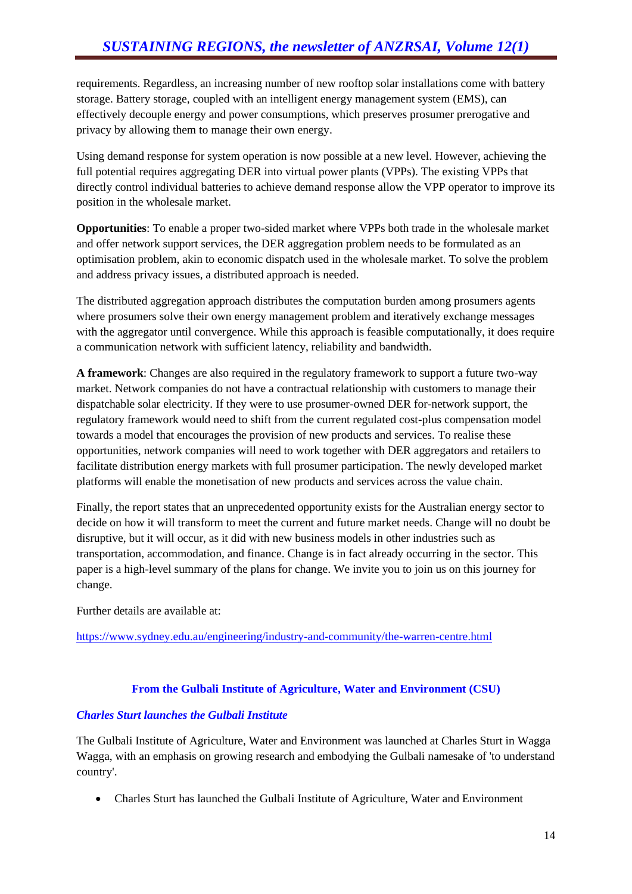requirements. Regardless, an increasing number of new rooftop solar installations come with battery storage. Battery storage, coupled with an intelligent energy management system (EMS), can effectively decouple energy and power consumptions, which preserves prosumer prerogative and privacy by allowing them to manage their own energy.

Using demand response for system operation is now possible at a new level. However, achieving the full potential requires aggregating DER into virtual power plants (VPPs). The existing VPPs that directly control individual batteries to achieve demand response allow the VPP operator to improve its position in the wholesale market.

**Opportunities**: To enable a proper two-sided market where VPPs both trade in the wholesale market and offer network support services, the DER aggregation problem needs to be formulated as an optimisation problem, akin to economic dispatch used in the wholesale market. To solve the problem and address privacy issues, a distributed approach is needed.

The distributed aggregation approach distributes the computation burden among prosumers agents where prosumers solve their own energy management problem and iteratively exchange messages with the aggregator until convergence. While this approach is feasible computationally, it does require a communication network with sufficient latency, reliability and bandwidth.

**A framework**: Changes are also required in the regulatory framework to support a future two-way market. Network companies do not have a contractual relationship with customers to manage their dispatchable solar electricity. If they were to use prosumer-owned DER for-network support, the regulatory framework would need to shift from the current regulated cost-plus compensation model towards a model that encourages the provision of new products and services. To realise these opportunities, network companies will need to work together with DER aggregators and retailers to facilitate distribution energy markets with full prosumer participation. The newly developed market platforms will enable the monetisation of new products and services across the value chain.

Finally, the report states that an unprecedented opportunity exists for the Australian energy sector to decide on how it will transform to meet the current and future market needs. Change will no doubt be disruptive, but it will occur, as it did with new business models in other industries such as transportation, accommodation, and finance. Change is in fact already occurring in the sector. This paper is a high-level summary of the plans for change. We invite you to join us on this journey for change.

Further details are available at:

<https://www.sydney.edu.au/engineering/industry-and-community/the-warren-centre.html>

#### **From the Gulbali Institute of Agriculture, Water and Environment (CSU)**

#### *Charles Sturt launches the Gulbali Institute*

The Gulbali Institute of Agriculture, Water and Environment was launched at Charles Sturt in Wagga Wagga, with an emphasis on growing research and embodying the Gulbali namesake of 'to understand country'.

• Charles Sturt has launched the Gulbali Institute of Agriculture, Water and Environment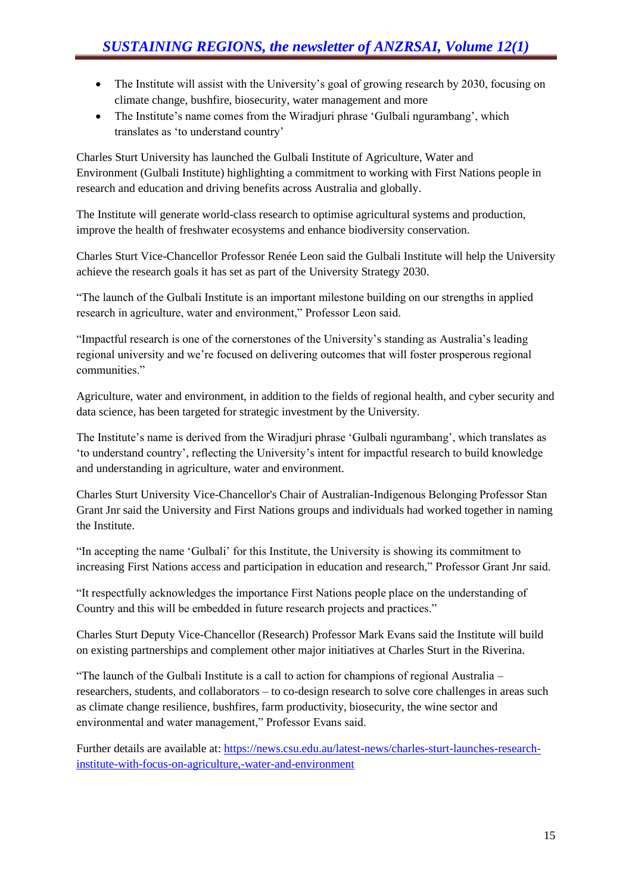- The Institute will assist with the University's goal of growing research by 2030, focusing on climate change, bushfire, biosecurity, water management and more
- The Institute's name comes from the Wiradjuri phrase 'Gulbali ngurambang', which translates as 'to understand country'

Charles Sturt University has launched the Gulbali Institute of Agriculture, Water and Environment (Gulbali Institute) highlighting a commitment to working with First Nations people in research and education and driving benefits across Australia and globally.

The Institute will generate world-class research to optimise agricultural systems and production, improve the health of freshwater ecosystems and enhance biodiversity conservation.

Charles Sturt Vice-Chancellor Professor Renée Leon said the Gulbali Institute will help the University achieve the research goals it has set as part of the University Strategy 2030.

"The launch of the Gulbali Institute is an important milestone building on our strengths in applied research in agriculture, water and environment," Professor Leon said.

"Impactful research is one of the cornerstones of the University's standing as Australia's leading regional university and we're focused on delivering outcomes that will foster prosperous regional communities."

Agriculture, water and environment, in addition to the fields of regional health, and cyber security and data science, has been targeted for strategic investment by the University.

The Institute's name is derived from the Wiradjuri phrase 'Gulbali ngurambang', which translates as 'to understand country', reflecting the University's intent for impactful research to build knowledge and understanding in agriculture, water and environment.

Charles Sturt University Vice-Chancellor's Chair of Australian-Indigenous Belonging Professor Stan Grant Jnr said the University and First Nations groups and individuals had worked together in naming the Institute.

"In accepting the name 'Gulbali' for this Institute, the University is showing its commitment to increasing First Nations access and participation in education and research," Professor Grant Jnr said.

"It respectfully acknowledges the importance First Nations people place on the understanding of Country and this will be embedded in future research projects and practices."

Charles Sturt Deputy Vice-Chancellor (Research) Professor Mark Evans said the Institute will build on existing partnerships and complement other major initiatives at Charles Sturt in the Riverina.

"The launch of the Gulbali Institute is a call to action for champions of regional Australia – researchers, students, and collaborators – to co-design research to solve core challenges in areas such as climate change resilience, bushfires, farm productivity, biosecurity, the wine sector and environmental and water management," Professor Evans said.

Further details are available at: [https://news.csu.edu.au/latest-news/charles-sturt-launches-research](https://news.csu.edu.au/latest-news/charles-sturt-launches-research-institute-with-focus-on-agriculture,-water-and-environment)[institute-with-focus-on-agriculture,-water-and-environment](https://news.csu.edu.au/latest-news/charles-sturt-launches-research-institute-with-focus-on-agriculture,-water-and-environment)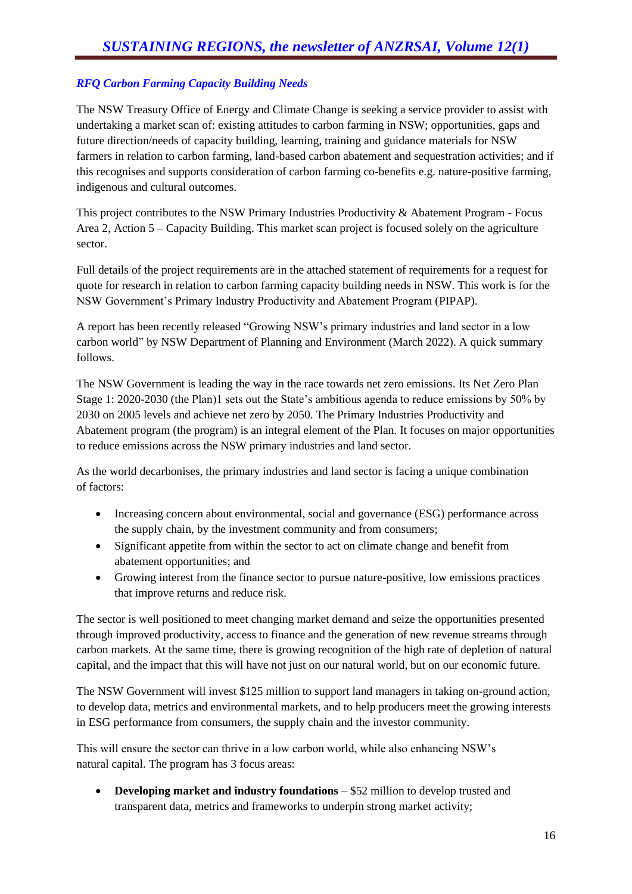#### *RFQ Carbon Farming Capacity Building Needs*

The NSW Treasury Office of Energy and Climate Change is seeking a service provider to assist with undertaking a market scan of: existing attitudes to carbon farming in NSW; opportunities, gaps and future direction/needs of capacity building, learning, training and guidance materials for NSW farmers in relation to carbon farming, land-based carbon abatement and sequestration activities; and if this recognises and supports consideration of carbon farming co-benefits e.g. nature-positive farming, indigenous and cultural outcomes.

This project contributes to the NSW Primary Industries Productivity & Abatement Program - Focus Area 2, Action 5 – Capacity Building. This market scan project is focused solely on the agriculture sector.

Full details of the project requirements are in the attached statement of requirements for a request for quote for research in relation to carbon farming capacity building needs in NSW. This work is for the NSW Government's Primary Industry Productivity and Abatement Program (PIPAP).

A report has been recently released "Growing NSW's primary industries and land sector in a low carbon world" by NSW Department of Planning and Environment (March 2022). A quick summary follows.

The NSW Government is leading the way in the race towards net zero emissions. Its Net Zero Plan Stage 1: 2020-2030 (the Plan)1 sets out the State's ambitious agenda to reduce emissions by 50% by 2030 on 2005 levels and achieve net zero by 2050. The Primary Industries Productivity and Abatement program (the program) is an integral element of the Plan. It focuses on major opportunities to reduce emissions across the NSW primary industries and land sector.

As the world decarbonises, the primary industries and land sector is facing a unique combination of factors:

- Increasing concern about environmental, social and governance (ESG) performance across the supply chain, by the investment community and from consumers;
- Significant appetite from within the sector to act on climate change and benefit from abatement opportunities; and
- Growing interest from the finance sector to pursue nature-positive, low emissions practices that improve returns and reduce risk.

The sector is well positioned to meet changing market demand and seize the opportunities presented through improved productivity, access to finance and the generation of new revenue streams through carbon markets. At the same time, there is growing recognition of the high rate of depletion of natural capital, and the impact that this will have not just on our natural world, but on our economic future.

The NSW Government will invest \$125 million to support land managers in taking on-ground action, to develop data, metrics and environmental markets, and to help producers meet the growing interests in ESG performance from consumers, the supply chain and the investor community.

This will ensure the sector can thrive in a low carbon world, while also enhancing NSW's natural capital. The program has 3 focus areas:

• **Developing market and industry foundations** – \$52 million to develop trusted and transparent data, metrics and frameworks to underpin strong market activity;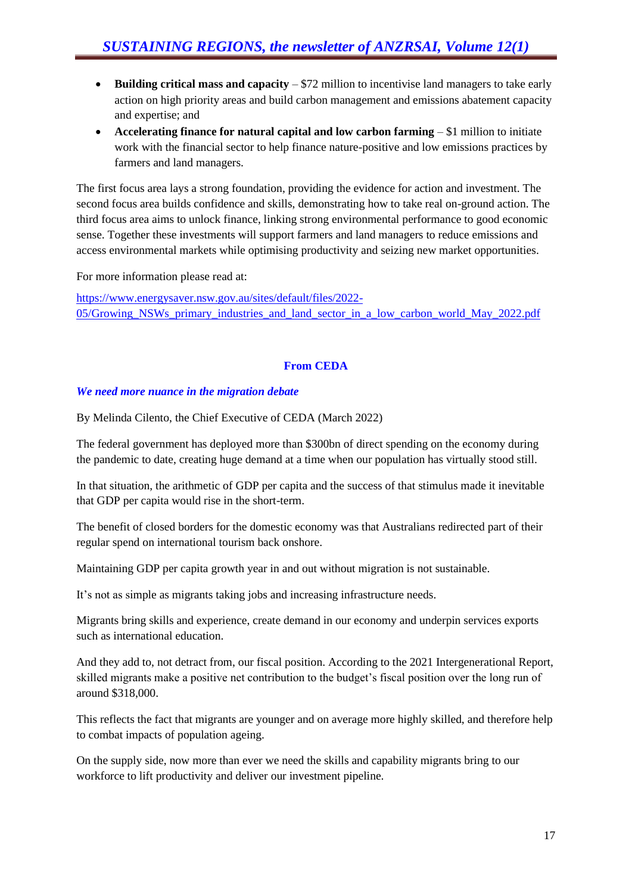- **Building critical mass and capacity** \$72 million to incentivise land managers to take early action on high priority areas and build carbon management and emissions abatement capacity and expertise; and
- **Accelerating finance for natural capital and low carbon farming** \$1 million to initiate work with the financial sector to help finance nature-positive and low emissions practices by farmers and land managers.

The first focus area lays a strong foundation, providing the evidence for action and investment. The second focus area builds confidence and skills, demonstrating how to take real on-ground action. The third focus area aims to unlock finance, linking strong environmental performance to good economic sense. Together these investments will support farmers and land managers to reduce emissions and access environmental markets while optimising productivity and seizing new market opportunities.

For more information please read at:

[https://www.energysaver.nsw.gov.au/sites/default/files/2022-](https://www.energysaver.nsw.gov.au/sites/default/files/2022-05/Growing_NSWs_primary_industries_and_land_sector_in_a_low_carbon_world_May_2022.pdf) [05/Growing\\_NSWs\\_primary\\_industries\\_and\\_land\\_sector\\_in\\_a\\_low\\_carbon\\_world\\_May\\_2022.pdf](https://www.energysaver.nsw.gov.au/sites/default/files/2022-05/Growing_NSWs_primary_industries_and_land_sector_in_a_low_carbon_world_May_2022.pdf)

#### **From CEDA**

#### *We need more nuance in the migration debate*

By Melinda Cilento, the Chief Executive of CEDA (March 2022)

The federal government has deployed more than \$300bn of direct spending on the economy during the pandemic to date, creating huge demand at a time when our population has virtually stood still.

In that situation, the arithmetic of GDP per capita and the success of that stimulus made it inevitable that GDP per capita would rise in the short-term.

The benefit of closed borders for the domestic economy was that Australians redirected part of their regular spend on international tourism back onshore.

Maintaining GDP per capita growth year in and out without migration is not sustainable.

It's not as simple as migrants taking jobs and increasing infrastructure needs.

Migrants bring skills and experience, create demand in our economy and underpin services exports such as international education.

And they add to, not detract from, our fiscal position. According to the 2021 Intergenerational Report, skilled migrants make a positive net contribution to the budget's fiscal position over the long run of around \$318,000.

This reflects the fact that migrants are younger and on average more highly skilled, and therefore help to combat impacts of population ageing.

On the supply side, now more than ever we need the skills and capability migrants bring to our workforce to lift productivity and deliver our investment pipeline.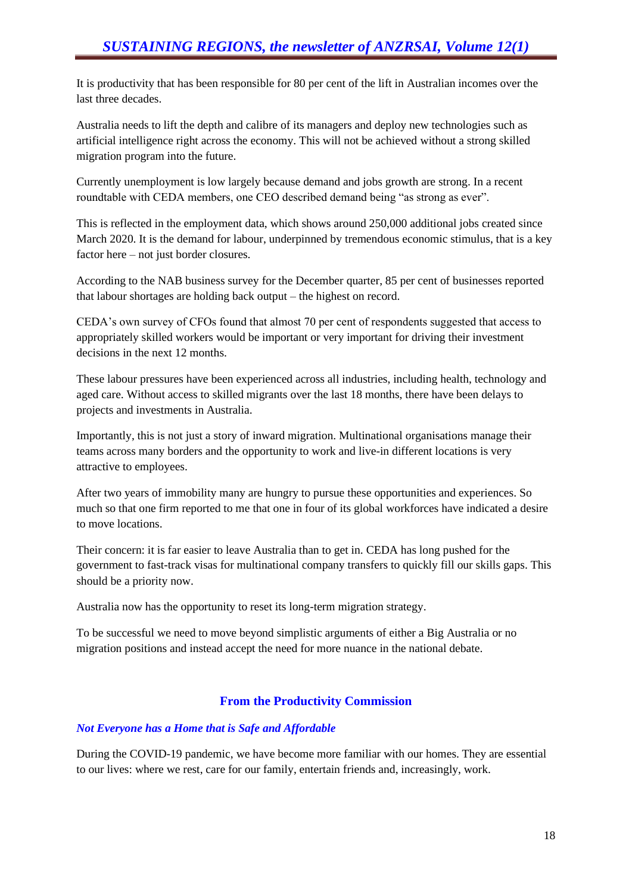It is productivity that has been responsible for 80 per cent of the lift in Australian incomes over the last three decades.

Australia needs to lift the depth and calibre of its managers and deploy new technologies such as artificial intelligence right across the economy. This will not be achieved without a strong skilled migration program into the future.

Currently unemployment is low largely because demand and jobs growth are strong. In a recent roundtable with CEDA members, one CEO described demand being "as strong as ever".

This is reflected in the employment data, which shows around 250,000 additional jobs created since March 2020. It is the demand for labour, underpinned by tremendous economic stimulus, that is a key factor here – not just border closures.

According to the NAB business survey for the December quarter, 85 per cent of businesses reported that labour shortages are holding back output – the highest on record.

CEDA's own survey of CFOs found that almost 70 per cent of respondents suggested that access to appropriately skilled workers would be important or very important for driving their investment decisions in the next 12 months.

These labour pressures have been experienced across all industries, including health, technology and aged care. Without access to skilled migrants over the last 18 months, there have been delays to projects and investments in Australia.

Importantly, this is not just a story of inward migration. Multinational organisations manage their teams across many borders and the opportunity to work and live-in different locations is very attractive to employees.

After two years of immobility many are hungry to pursue these opportunities and experiences. So much so that one firm reported to me that one in four of its global workforces have indicated a desire to move locations.

Their concern: it is far easier to leave Australia than to get in. CEDA has long pushed for the government to fast-track visas for multinational company transfers to quickly fill our skills gaps. This should be a priority now.

Australia now has the opportunity to reset its long-term migration strategy.

To be successful we need to move beyond simplistic arguments of either a Big Australia or no migration positions and instead accept the need for more nuance in the national debate.

#### **From the Productivity Commission**

#### *Not Everyone has a Home that is Safe and Affordable*

During the COVID-19 pandemic, we have become more familiar with our homes. They are essential to our lives: where we rest, care for our family, entertain friends and, increasingly, work.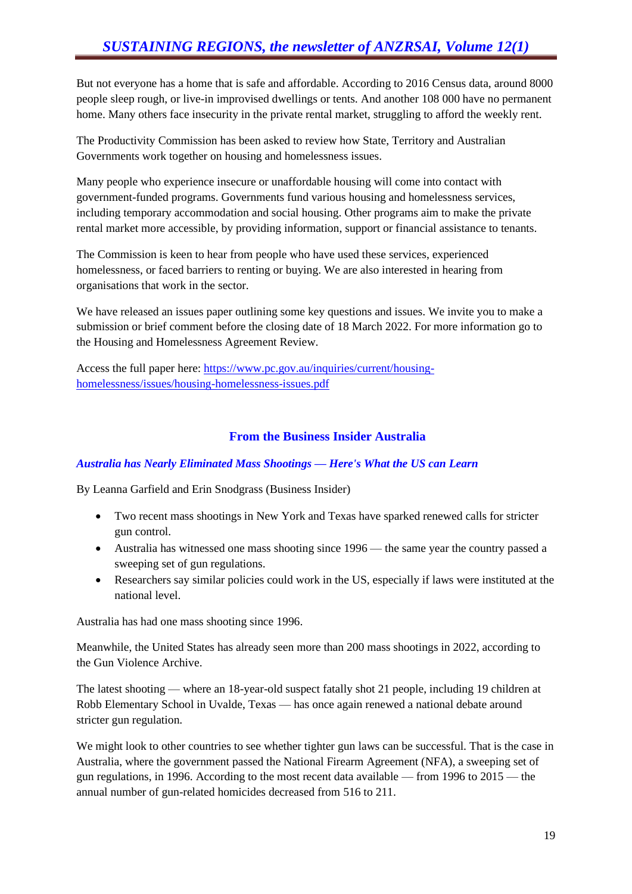But not everyone has a home that is safe and affordable. According to 2016 Census data, around 8000 people sleep rough, or live-in improvised dwellings or tents. And another 108 000 have no permanent home. Many others face insecurity in the private rental market, struggling to afford the weekly rent.

The Productivity Commission has been asked to review how State, Territory and Australian Governments work together on housing and homelessness issues.

Many people who experience insecure or unaffordable housing will come into contact with government-funded programs. Governments fund various housing and homelessness services, including temporary accommodation and social housing. Other programs aim to make the private rental market more accessible, by providing information, support or financial assistance to tenants.

The Commission is keen to hear from people who have used these services, experienced homelessness, or faced barriers to renting or buying. We are also interested in hearing from organisations that work in the sector.

We have released an issues paper outlining some key questions and issues. We invite you to make a submission or brief comment before the closing date of 18 March 2022. For more information go to the Housing and Homelessness Agreement Review.

Access the full paper here: [https://www.pc.gov.au/inquiries/current/housing](https://www.pc.gov.au/inquiries/current/housing-homelessness/issues/housing-homelessness-issues.pdf)[homelessness/issues/housing-homelessness-issues.pdf](https://www.pc.gov.au/inquiries/current/housing-homelessness/issues/housing-homelessness-issues.pdf)

#### **From the Business Insider Australia**

#### *Australia has Nearly Eliminated Mass Shootings — Here's What the US can Learn*

By Leanna Garfield and Erin Snodgrass (Business Insider)

- Two recent mass shootings in New York and Texas have sparked renewed calls for stricter gun control.
- Australia has witnessed one mass shooting since 1996 the same year the country passed a sweeping set of gun regulations.
- Researchers say similar policies could work in the US, especially if laws were instituted at the national level.

Australia has had one mass shooting since 1996.

Meanwhile, the United States has already seen more than 200 mass shootings in 2022, according to the Gun Violence Archive.

The latest shooting — where an 18-year-old suspect fatally shot 21 people, including 19 children at Robb Elementary School in Uvalde, Texas — has once again renewed a national debate around stricter gun regulation.

We might look to other countries to see whether tighter gun laws can be successful. That is the case in Australia, where the government passed the National Firearm Agreement (NFA), a sweeping set of gun regulations, in 1996. According to the most recent data available — from 1996 to 2015 — the annual number of gun-related homicides decreased from 516 to 211.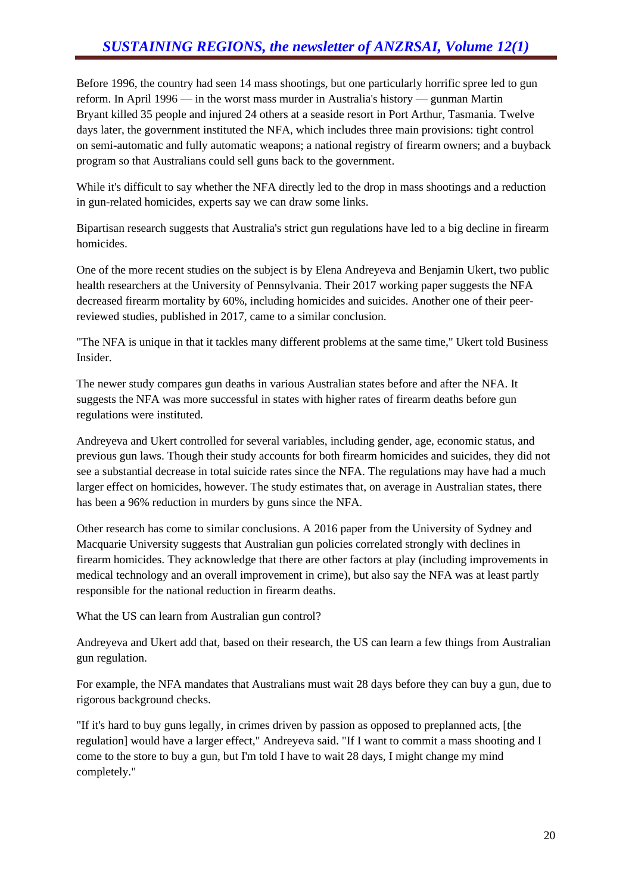Before 1996, the country had seen 14 mass shootings, but one particularly horrific spree led to gun reform. In April 1996 — in the worst mass murder in Australia's history — gunman Martin Bryant killed 35 people and injured 24 others at a seaside resort in Port Arthur, Tasmania. Twelve days later, the government instituted the NFA, which includes three main provisions: tight control on semi-automatic and fully automatic weapons; a national registry of firearm owners; and a buyback program so that Australians could sell guns back to the government.

While it's difficult to say whether the NFA directly led to the drop in mass shootings and a reduction in gun-related homicides, experts say we can draw some links.

Bipartisan research suggests that Australia's strict gun regulations have led to a big decline in firearm homicides.

One of the more recent studies on the subject is by Elena Andreyeva and Benjamin Ukert, two public health researchers at the University of Pennsylvania. Their 2017 working paper suggests the NFA decreased firearm mortality by 60%, including homicides and suicides. Another one of their peerreviewed studies, published in 2017, came to a similar conclusion.

"The NFA is unique in that it tackles many different problems at the same time," Ukert told Business Insider.

The newer study compares gun deaths in various Australian states before and after the NFA. It suggests the NFA was more successful in states with higher rates of firearm deaths before gun regulations were instituted.

Andreyeva and Ukert controlled for several variables, including gender, age, economic status, and previous gun laws. Though their study accounts for both firearm homicides and suicides, they did not see a substantial decrease in total suicide rates since the NFA. The regulations may have had a much larger effect on homicides, however. The study estimates that, on average in Australian states, there has been a 96% reduction in murders by guns since the NFA.

Other research has come to similar conclusions. A 2016 paper from the University of Sydney and Macquarie University suggests that Australian gun policies correlated strongly with declines in firearm homicides. They acknowledge that there are other factors at play (including improvements in medical technology and an overall improvement in crime), but also say the NFA was at least partly responsible for the national reduction in firearm deaths.

What the US can learn from Australian gun control?

Andreyeva and Ukert add that, based on their research, the US can learn a few things from Australian gun regulation.

For example, the NFA mandates that Australians must wait 28 days before they can buy a gun, due to rigorous background checks.

"If it's hard to buy guns legally, in crimes driven by passion as opposed to preplanned acts, [the regulation] would have a larger effect," Andreyeva said. "If I want to commit a mass shooting and I come to the store to buy a gun, but I'm told I have to wait 28 days, I might change my mind completely."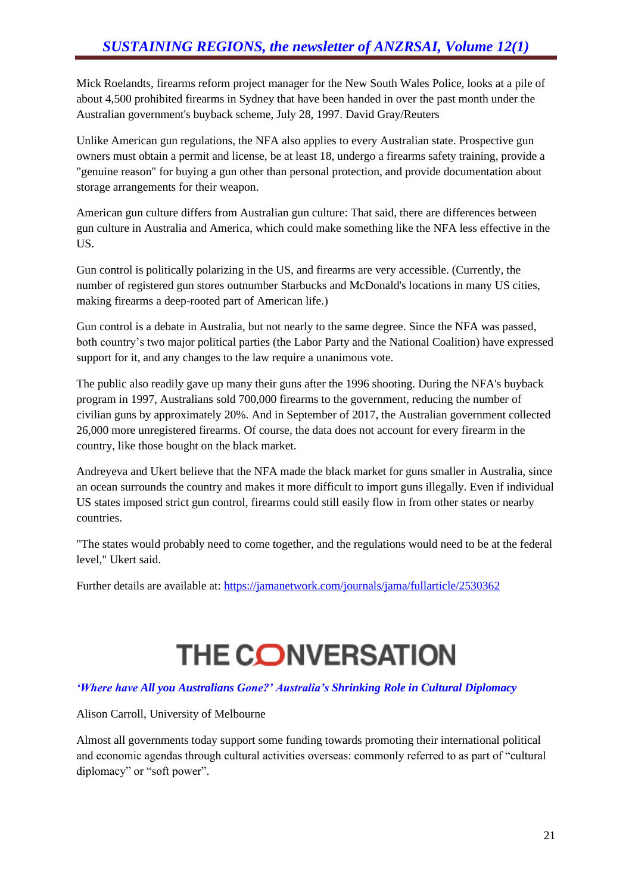Mick Roelandts, firearms reform project manager for the New South Wales Police, looks at a pile of about 4,500 prohibited firearms in Sydney that have been handed in over the past month under the Australian government's buyback scheme, July 28, 1997. David Gray/Reuters

Unlike American gun regulations, the NFA also applies to every Australian state. Prospective gun owners must obtain a permit and license, be at least 18, undergo a firearms safety training, provide a "genuine reason" for buying a gun other than personal protection, and provide documentation about storage arrangements for their weapon.

American gun culture differs from Australian gun culture: That said, there are differences between gun culture in Australia and America, which could make something like the NFA less effective in the US.

Gun control is politically polarizing in the US, and firearms are very accessible. (Currently, the number of registered gun stores outnumber Starbucks and McDonald's locations in many US cities, making firearms a deep-rooted part of American life.)

Gun control is a debate in Australia, but not nearly to the same degree. Since the NFA was passed, both country's two major political parties (the Labor Party and the National Coalition) have expressed support for it, and any changes to the law require a unanimous vote.

The public also readily gave up many their guns after the 1996 shooting. During the NFA's buyback program in 1997, Australians sold 700,000 firearms to the government, reducing the number of civilian guns by approximately 20%. And in September of 2017, the Australian government collected 26,000 more unregistered firearms. Of course, the data does not account for every firearm in the country, like those bought on the black market.

Andreyeva and Ukert believe that the NFA made the black market for guns smaller in Australia, since an ocean surrounds the country and makes it more difficult to import guns illegally. Even if individual US states imposed strict gun control, firearms could still easily flow in from other states or nearby countries.

"The states would probably need to come together, and the regulations would need to be at the federal level," Ukert said.

Further details are available at:<https://jamanetwork.com/journals/jama/fullarticle/2530362>

# **THE CONVERSATION**

#### *'Where have All you Australians Gone?' Australia's Shrinking Role in Cultural Diplomacy*

Alison Carroll, University of Melbourne

Almost all governments today support some funding towards promoting their international political and economic agendas through cultural activities overseas: commonly referred to as part of "cultural diplomacy" or "soft power".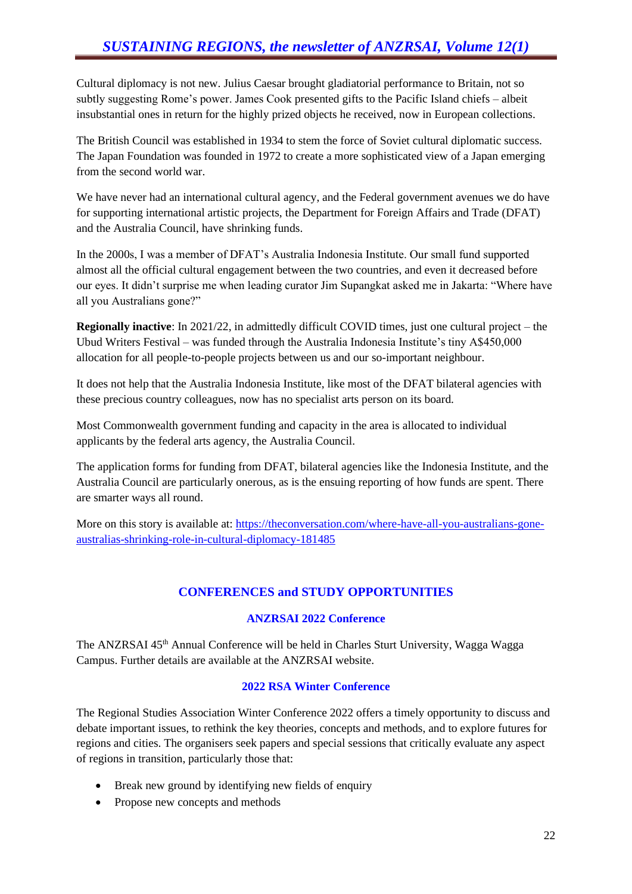Cultural diplomacy is not new. Julius Caesar brought gladiatorial performance to Britain, not so subtly suggesting Rome's power. James Cook presented gifts to the Pacific Island chiefs – albeit insubstantial ones in return for the highly prized objects he received, now in European collections.

The British Council was established in 1934 to stem the force of Soviet cultural diplomatic success. The Japan Foundation was founded in 1972 to create a more sophisticated view of a Japan emerging from the second world war.

We have never had an international cultural agency, and the Federal government avenues we do have for supporting international artistic projects, the Department for Foreign Affairs and Trade (DFAT) and the Australia Council, have shrinking funds.

In the 2000s, I was a member of DFAT's Australia Indonesia Institute. Our small fund supported almost all the official cultural engagement between the two countries, and even it decreased before our eyes. It didn't surprise me when leading curator Jim Supangkat asked me in Jakarta: "Where have all you Australians gone?"

**Regionally inactive**: In 2021/22, in admittedly difficult COVID times, just one cultural project – the Ubud Writers Festival – was funded through the Australia Indonesia Institute's tiny A\$450,000 allocation for all people-to-people projects between us and our so-important neighbour.

It does not help that the Australia Indonesia Institute, like most of the DFAT bilateral agencies with these precious country colleagues, now has no specialist arts person on its board.

Most Commonwealth government funding and capacity in the area is allocated to individual applicants by the federal arts agency, the Australia Council.

The application forms for funding from DFAT, bilateral agencies like the Indonesia Institute, and the Australia Council are particularly onerous, as is the ensuing reporting of how funds are spent. There are smarter ways all round.

More on this story is available at: [https://theconversation.com/where-have-all-you-australians-gone](https://theconversation.com/where-have-all-you-australians-gone-australias-shrinking-role-in-cultural-diplomacy-181485)[australias-shrinking-role-in-cultural-diplomacy-181485](https://theconversation.com/where-have-all-you-australians-gone-australias-shrinking-role-in-cultural-diplomacy-181485)

# **CONFERENCES and STUDY OPPORTUNITIES**

#### **ANZRSAI 2022 Conference**

The ANZRSAI 45<sup>th</sup> Annual Conference will be held in Charles Sturt University, Wagga Wagga Campus. Further details are available at the ANZRSAI website.

#### **2022 RSA Winter Conference**

The Regional Studies Association Winter Conference 2022 offers a timely opportunity to discuss and debate important issues, to rethink the key theories, concepts and methods, and to explore futures for regions and cities. The organisers seek papers and special sessions that critically evaluate any aspect of regions in transition, particularly those that:

- Break new ground by identifying new fields of enquiry
- Propose new concepts and methods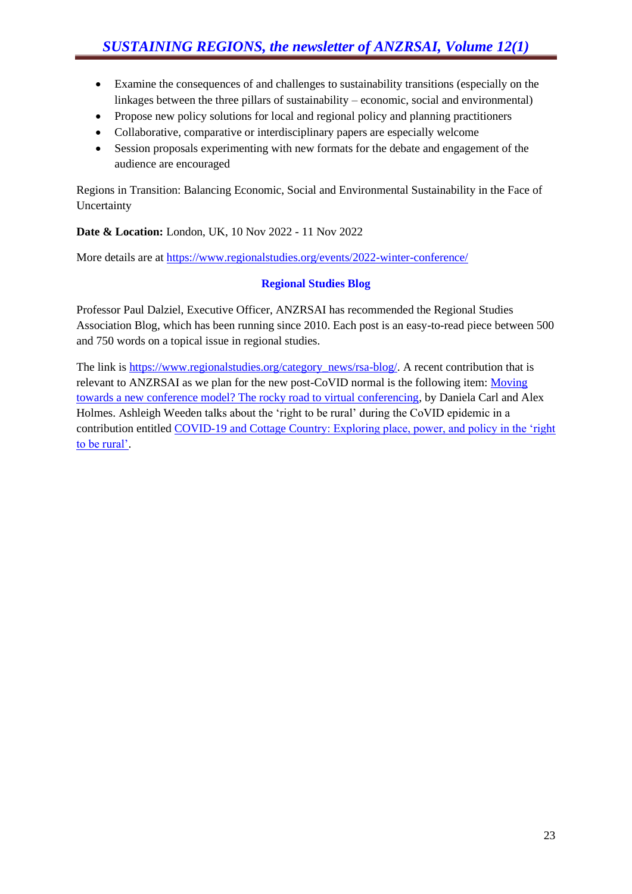- Examine the consequences of and challenges to sustainability transitions (especially on the linkages between the three pillars of sustainability – economic, social and environmental)
- Propose new policy solutions for local and regional policy and planning practitioners
- Collaborative, comparative or interdisciplinary papers are especially welcome
- Session proposals experimenting with new formats for the debate and engagement of the audience are encouraged

Regions in Transition: Balancing Economic, Social and Environmental Sustainability in the Face of Uncertainty

**Date & Location:** London, UK, 10 Nov 2022 - 11 Nov 2022

More details are at<https://www.regionalstudies.org/events/2022-winter-conference/>

#### **Regional Studies Blog**

Professor Paul Dalziel, Executive Officer, ANZRSAI has recommended the Regional Studies Association Blog, which has been running since 2010. Each post is an easy-to-read piece between 500 and 750 words on a topical issue in regional studies.

The link is [https://www.regionalstudies.org/category\\_news/rsa-blog/.](https://www.regionalstudies.org/category_news/rsa-blog/) A recent contribution that is relevant to ANZRSAI as we plan for the new post-CoVID normal is the following item: [Moving](https://www.regionalstudies.org/news/moving-towards-a-new-conference-model-the-rocky-road-to-virtual-conferencing/)  [towards a new conference model? The rocky road to virtual conferencing,](https://www.regionalstudies.org/news/moving-towards-a-new-conference-model-the-rocky-road-to-virtual-conferencing/) by Daniela Carl and Alex Holmes. Ashleigh Weeden talks about the 'right to be rural' during the CoVID epidemic in a contribution entitled COVID-19 and Cottage Country: Exploring place, power, and policy in the 'right' [to be rural'.](https://www.regionalstudies.org/news/covid-19-and-cottage-country-exploring-place-power-and-policy-in-the-right-to-be-rural/)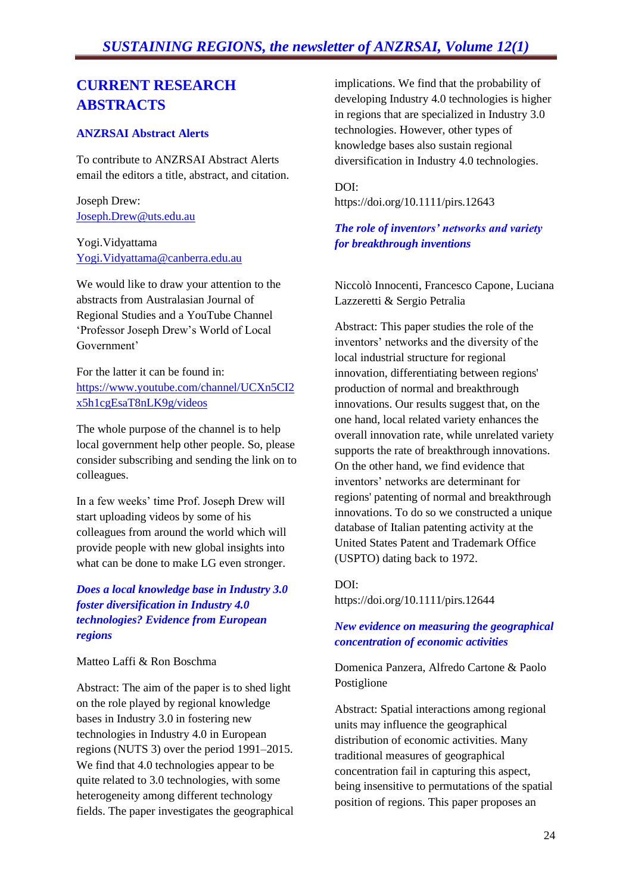# *SUSTAINING REGIONS, the newsletter of ANZRSAI, Volume 12(1)*

# **CURRENT RESEARCH ABSTRACTS**

#### **ANZRSAI Abstract Alerts**

To contribute to ANZRSAI Abstract Alerts email the editors a title, abstract, and citation.

Joseph Drew: [Joseph.Drew@uts.edu.au](mailto:Joseph.Drew@uts.edu.au)

Yogi.Vidyattama [Yogi.Vidyattama@canberra.edu.au](mailto:Yogi.Vidyattama@canberra.edu.au)

We would like to draw your attention to the abstracts from Australasian Journal of Regional Studies and a YouTube Channel 'Professor Joseph Drew's World of Local Government'

For the latter it can be found in: [https://www.youtube.com/channel/UCXn5CI2](http://antispam.csu.edu.au:32224/?dmVyPTEuMDAxJiZlNzRmZTZlNjQ0YTRhNTgwZj02MTlBQjJEOF85MDM5NF8xNTEwMl8xJiYxOGZiOWEzYjNkMWMzOWI9MTMzMyYmdXJsPWh0dHBzJTNBJTJGJTJGd3d3JTJFeW91dHViZSUyRWNvbSUyRmNoYW5uZWwlMkZVQ1huNUNJMng1aDFjZ0VzYVQ4bkxLOWclMkZ2aWRlb3M=) [x5h1cgEsaT8nLK9g/videos](http://antispam.csu.edu.au:32224/?dmVyPTEuMDAxJiZlNzRmZTZlNjQ0YTRhNTgwZj02MTlBQjJEOF85MDM5NF8xNTEwMl8xJiYxOGZiOWEzYjNkMWMzOWI9MTMzMyYmdXJsPWh0dHBzJTNBJTJGJTJGd3d3JTJFeW91dHViZSUyRWNvbSUyRmNoYW5uZWwlMkZVQ1huNUNJMng1aDFjZ0VzYVQ4bkxLOWclMkZ2aWRlb3M=)

The whole purpose of the channel is to help local government help other people. So, please consider subscribing and sending the link on to colleagues.

In a few weeks' time Prof. Joseph Drew will start uploading videos by some of his colleagues from around the world which will provide people with new global insights into what can be done to make LG even stronger.

#### *Does a local knowledge base in Industry 3.0 foster diversification in Industry 4.0 technologies? Evidence from European regions*

#### Matteo Laffi & Ron Boschma

Abstract: The aim of the paper is to shed light on the role played by regional knowledge bases in Industry 3.0 in fostering new technologies in Industry 4.0 in European regions (NUTS 3) over the period 1991–2015. We find that 4.0 technologies appear to be quite related to 3.0 technologies, with some heterogeneity among different technology fields. The paper investigates the geographical implications. We find that the probability of developing Industry 4.0 technologies is higher in regions that are specialized in Industry 3.0 technologies. However, other types of knowledge bases also sustain regional diversification in Industry 4.0 technologies.

#### DOI:

https://doi.org/10.1111/pirs.12643

#### *The role of inventors' networks and variety for breakthrough inventions*

Niccolò Innocenti, Francesco Capone, Luciana Lazzeretti & Sergio Petralia

Abstract: This paper studies the role of the inventors' networks and the diversity of the local industrial structure for regional innovation, differentiating between regions' production of normal and breakthrough innovations. Our results suggest that, on the one hand, local related variety enhances the overall innovation rate, while unrelated variety supports the rate of breakthrough innovations. On the other hand, we find evidence that inventors' networks are determinant for regions' patenting of normal and breakthrough innovations. To do so we constructed a unique database of Italian patenting activity at the United States Patent and Trademark Office (USPTO) dating back to 1972.

DOI: https://doi.org/10.1111/pirs.12644

#### *New evidence on measuring the geographical concentration of economic activities*

Domenica Panzera, Alfredo Cartone & Paolo Postiglione

Abstract: Spatial interactions among regional units may influence the geographical distribution of economic activities. Many traditional measures of geographical concentration fail in capturing this aspect, being insensitive to permutations of the spatial position of regions. This paper proposes an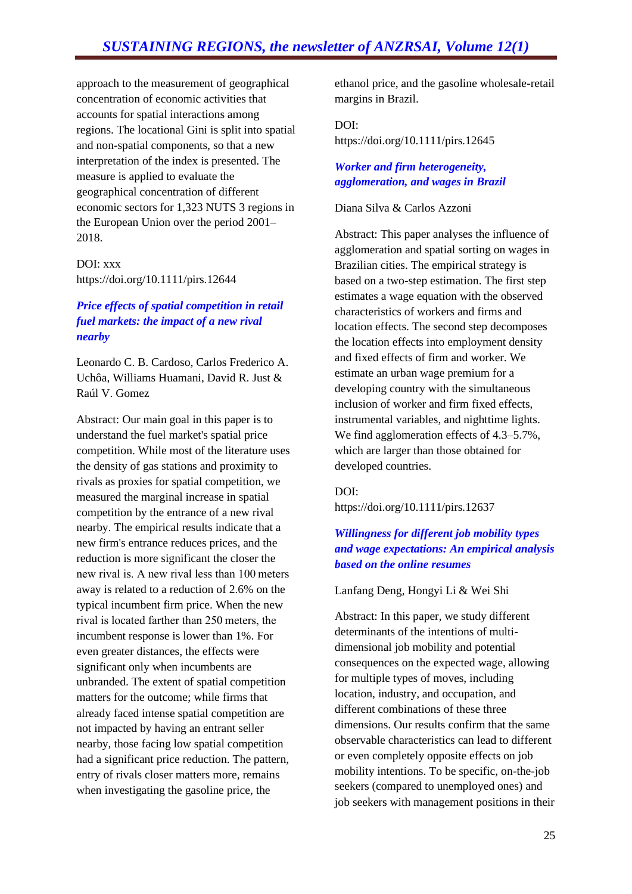approach to the measurement of geographical concentration of economic activities that accounts for spatial interactions among regions. The locational Gini is split into spatial and non-spatial components, so that a new interpretation of the index is presented. The measure is applied to evaluate the geographical concentration of different economic sectors for 1,323 NUTS 3 regions in the European Union over the period 2001– 2018.

DOI: xxx https://doi.org/10.1111/pirs.12644

#### *Price effects of spatial competition in retail fuel markets: the impact of a new rival nearby*

Leonardo C. B. Cardoso, Carlos Frederico A. Uchôa, Williams Huamani, David R. Just & Raúl V. Gomez

Abstract: Our main goal in this paper is to understand the fuel market's spatial price competition. While most of the literature uses the density of gas stations and proximity to rivals as proxies for spatial competition, we measured the marginal increase in spatial competition by the entrance of a new rival nearby. The empirical results indicate that a new firm's entrance reduces prices, and the reduction is more significant the closer the new rival is. A new rival less than 100 meters away is related to a reduction of 2.6% on the typical incumbent firm price. When the new rival is located farther than 250 meters, the incumbent response is lower than 1%. For even greater distances, the effects were significant only when incumbents are unbranded. The extent of spatial competition matters for the outcome; while firms that already faced intense spatial competition are not impacted by having an entrant seller nearby, those facing low spatial competition had a significant price reduction. The pattern, entry of rivals closer matters more, remains when investigating the gasoline price, the

ethanol price, and the gasoline wholesale-retail margins in Brazil.

### DOI: https://doi.org/10.1111/pirs.12645

#### *Worker and firm heterogeneity, agglomeration, and wages in Brazil*

#### Diana Silva & Carlos Azzoni

Abstract: This paper analyses the influence of agglomeration and spatial sorting on wages in Brazilian cities. The empirical strategy is based on a two-step estimation. The first step estimates a wage equation with the observed characteristics of workers and firms and location effects. The second step decomposes the location effects into employment density and fixed effects of firm and worker. We estimate an urban wage premium for a developing country with the simultaneous inclusion of worker and firm fixed effects, instrumental variables, and nighttime lights. We find agglomeration effects of 4.3–5.7%, which are larger than those obtained for developed countries.

#### DOI:

https://doi.org/10.1111/pirs.12637

#### *Willingness for different job mobility types and wage expectations: An empirical analysis based on the online resumes*

Lanfang Deng, Hongyi Li & Wei Shi

Abstract: In this paper, we study different determinants of the intentions of multidimensional job mobility and potential consequences on the expected wage, allowing for multiple types of moves, including location, industry, and occupation, and different combinations of these three dimensions. Our results confirm that the same observable characteristics can lead to different or even completely opposite effects on job mobility intentions. To be specific, on-the-job seekers (compared to unemployed ones) and job seekers with management positions in their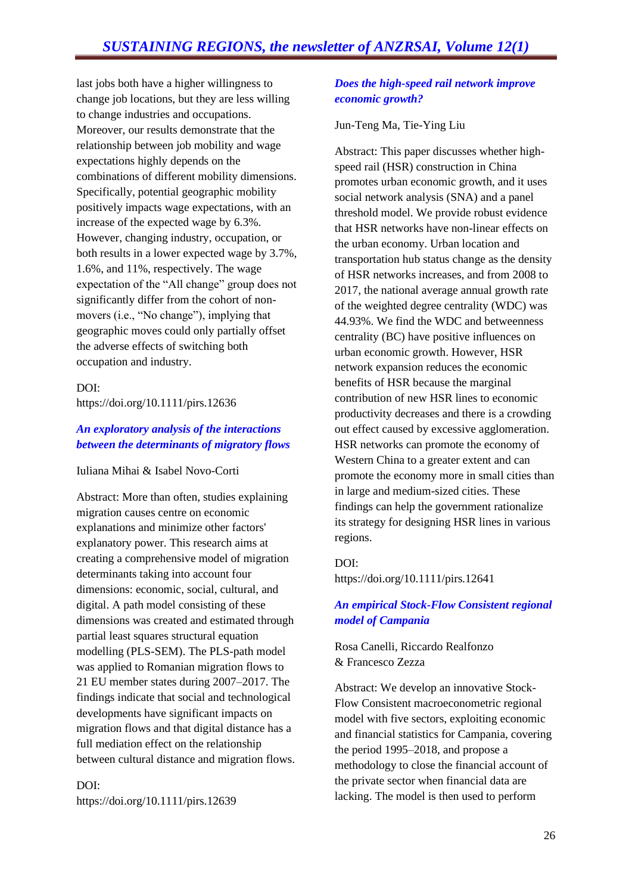last jobs both have a higher willingness to change job locations, but they are less willing to change industries and occupations. Moreover, our results demonstrate that the relationship between job mobility and wage expectations highly depends on the combinations of different mobility dimensions. Specifically, potential geographic mobility positively impacts wage expectations, with an increase of the expected wage by 6.3%. However, changing industry, occupation, or both results in a lower expected wage by 3.7%, 1.6%, and 11%, respectively. The wage expectation of the "All change" group does not significantly differ from the cohort of nonmovers (i.e., "No change"), implying that geographic moves could only partially offset the adverse effects of switching both occupation and industry.

#### DOI:

https://doi.org/10.1111/pirs.12636

#### *An exploratory analysis of the interactions between the determinants of migratory flows*

Iuliana Mihai & Isabel Novo-Corti

Abstract: More than often, studies explaining migration causes centre on economic explanations and minimize other factors' explanatory power. This research aims at creating a comprehensive model of migration determinants taking into account four dimensions: economic, social, cultural, and digital. A path model consisting of these dimensions was created and estimated through partial least squares structural equation modelling (PLS-SEM). The PLS-path model was applied to Romanian migration flows to 21 EU member states during 2007–2017. The findings indicate that social and technological developments have significant impacts on migration flows and that digital distance has a full mediation effect on the relationship between cultural distance and migration flows.

# DOI:

https://doi.org/10.1111/pirs.12639

#### *Does the high-speed rail network improve economic growth?*

#### Jun-Teng Ma, Tie-Ying Liu

Abstract: This paper discusses whether highspeed rail (HSR) construction in China promotes urban economic growth, and it uses social network analysis (SNA) and a panel threshold model. We provide robust evidence that HSR networks have non-linear effects on the urban economy. Urban location and transportation hub status change as the density of HSR networks increases, and from 2008 to 2017, the national average annual growth rate of the weighted degree centrality (WDC) was 44.93%. We find the WDC and betweenness centrality (BC) have positive influences on urban economic growth. However, HSR network expansion reduces the economic benefits of HSR because the marginal contribution of new HSR lines to economic productivity decreases and there is a crowding out effect caused by excessive agglomeration. HSR networks can promote the economy of Western China to a greater extent and can promote the economy more in small cities than in large and medium-sized cities. These findings can help the government rationalize its strategy for designing HSR lines in various regions.

#### DOI:

https://doi.org/10.1111/pirs.12641

#### *An empirical Stock-Flow Consistent regional model of Campania*

Rosa Canelli, Riccardo Realfonzo & Francesco Zezza

Abstract: We develop an innovative Stock-Flow Consistent macroeconometric regional model with five sectors, exploiting economic and financial statistics for Campania, covering the period 1995–2018, and propose a methodology to close the financial account of the private sector when financial data are lacking. The model is then used to perform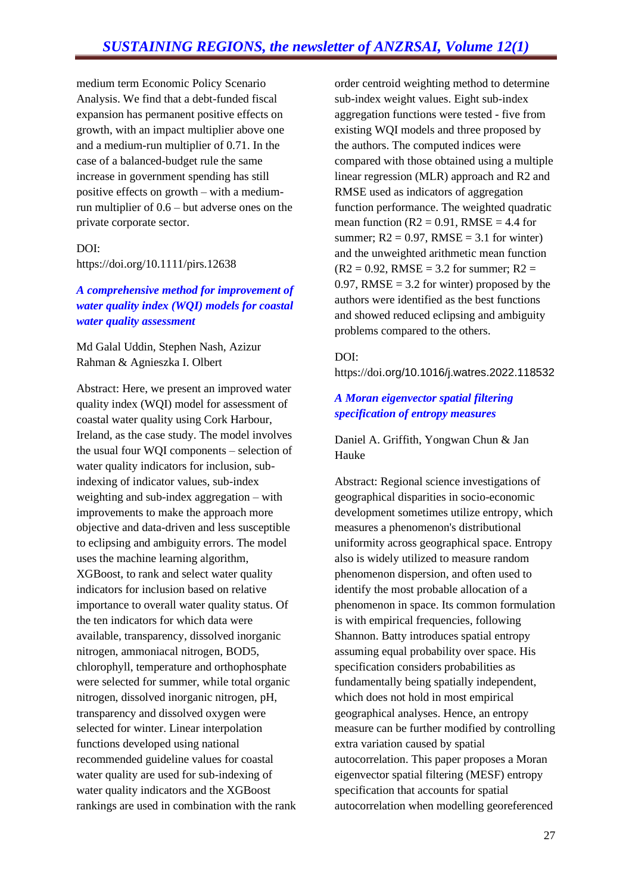medium term Economic Policy Scenario Analysis. We find that a debt-funded fiscal expansion has permanent positive effects on growth, with an impact multiplier above one and a medium-run multiplier of 0.71. In the case of a balanced-budget rule the same increase in government spending has still positive effects on growth – with a mediumrun multiplier of 0.6 – but adverse ones on the private corporate sector.

## DOI:

https://doi.org/10.1111/pirs.12638

#### *A comprehensive method for improvement of water quality index (WQI) models for coastal water quality assessment*

Md Galal Uddin, Stephen Nash, Azizur Rahman & Agnieszka I. Olbert

Abstract: Here, we present an improved water quality index (WQI) model for assessment of coastal water quality using Cork Harbour, Ireland, as the case study. The model involves the usual four WQI components – selection of water quality indicators for inclusion, subindexing of indicator values, sub-index weighting and sub-index aggregation – with improvements to make the approach more objective and data-driven and less susceptible to eclipsing and ambiguity errors. The model uses the machine learning algorithm, XGBoost, to rank and select water quality indicators for inclusion based on relative importance to overall water quality status. Of the ten indicators for which data were available, transparency, dissolved inorganic nitrogen, ammoniacal nitrogen, BOD5, chlorophyll, temperature and orthophosphate were selected for summer, while total organic nitrogen, dissolved inorganic nitrogen, pH, transparency and dissolved oxygen were selected for winter. Linear interpolation functions developed using national recommended guideline values for coastal water quality are used for sub-indexing of water quality indicators and the XGBoost rankings are used in combination with the rank order centroid weighting method to determine sub-index weight values. Eight sub-index aggregation functions were tested - five from existing WQI models and three proposed by the authors. The computed indices were compared with those obtained using a multiple linear regression (MLR) approach and R2 and RMSE used as indicators of aggregation function performance. The weighted quadratic mean function ( $R2 = 0.91$ , RMSE = 4.4 for summer;  $R2 = 0.97$ , RMSE = 3.1 for winter) and the unweighted arithmetic mean function  $(R2 = 0.92, RMSE = 3.2$  for summer;  $R2 =$ 0.97, RMSE  $=$  3.2 for winter) proposed by the authors were identified as the best functions and showed reduced eclipsing and ambiguity problems compared to the others.

#### DOI:

https://doi.org/10.1016/j.watres.2022.118532

#### *A Moran eigenvector spatial filtering specification of entropy measures*

#### Daniel A. Griffith, Yongwan Chun & Jan Hauke

Abstract: Regional science investigations of geographical disparities in socio-economic development sometimes utilize entropy, which measures a phenomenon's distributional uniformity across geographical space. Entropy also is widely utilized to measure random phenomenon dispersion, and often used to identify the most probable allocation of a phenomenon in space. Its common formulation is with empirical frequencies, following Shannon. Batty introduces spatial entropy assuming equal probability over space. His specification considers probabilities as fundamentally being spatially independent, which does not hold in most empirical geographical analyses. Hence, an entropy measure can be further modified by controlling extra variation caused by spatial autocorrelation. This paper proposes a Moran eigenvector spatial filtering (MESF) entropy specification that accounts for spatial autocorrelation when modelling georeferenced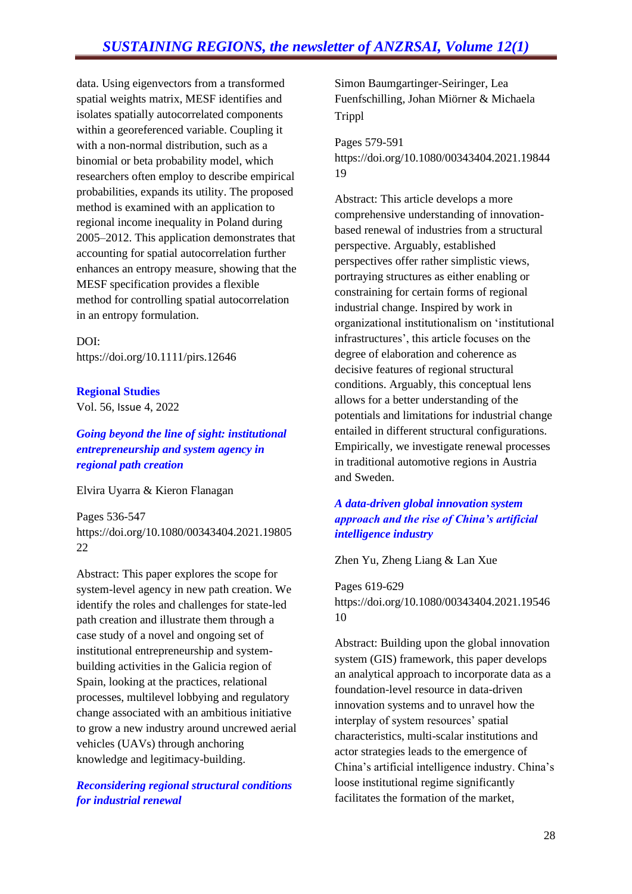data. Using eigenvectors from a transformed spatial weights matrix, MESF identifies and isolates spatially autocorrelated components within a georeferenced variable. Coupling it with a non-normal distribution, such as a binomial or beta probability model, which researchers often employ to describe empirical probabilities, expands its utility. The proposed method is examined with an application to regional income inequality in Poland during 2005–2012. This application demonstrates that accounting for spatial autocorrelation further enhances an entropy measure, showing that the MESF specification provides a flexible method for controlling spatial autocorrelation in an entropy formulation.

DOI: https://doi.org/10.1111/pirs.12646

#### **Regional Studies**

Vol. 56, Issue 4, 2022

*Going beyond the line of sight: institutional entrepreneurship and system agency in regional path creation*

Elvira Uyarra & Kieron Flanagan

Pages 536-547 https://doi.org/10.1080/00343404.2021.19805 22

Abstract: This paper explores the scope for system-level agency in new path creation. We identify the roles and challenges for state-led path creation and illustrate them through a case study of a novel and ongoing set of institutional entrepreneurship and systembuilding activities in the Galicia region of Spain, looking at the practices, relational processes, multilevel lobbying and regulatory change associated with an ambitious initiative to grow a new industry around uncrewed aerial vehicles (UAVs) through anchoring knowledge and legitimacy-building.

#### *Reconsidering regional structural conditions for industrial renewal*

Simon Baumgartinger-Seiringer, Lea Fuenfschilling, Johan Miörner & Michaela Trippl

Pages 579-591 https://doi.org/10.1080/00343404.2021.19844 19

Abstract: This article develops a more comprehensive understanding of innovationbased renewal of industries from a structural perspective. Arguably, established perspectives offer rather simplistic views, portraying structures as either enabling or constraining for certain forms of regional industrial change. Inspired by work in organizational institutionalism on 'institutional infrastructures', this article focuses on the degree of elaboration and coherence as decisive features of regional structural conditions. Arguably, this conceptual lens allows for a better understanding of the potentials and limitations for industrial change entailed in different structural configurations. Empirically, we investigate renewal processes in traditional automotive regions in Austria and Sweden.

#### *A data-driven global innovation system approach and the rise of China's artificial intelligence industry*

Zhen Yu, Zheng Liang & Lan Xue

Pages 619-629 https://doi.org/10.1080/00343404.2021.19546 10

Abstract: Building upon the global innovation system (GIS) framework, this paper develops an analytical approach to incorporate data as a foundation-level resource in data-driven innovation systems and to unravel how the interplay of system resources' spatial characteristics, multi-scalar institutions and actor strategies leads to the emergence of China's artificial intelligence industry. China's loose institutional regime significantly facilitates the formation of the market,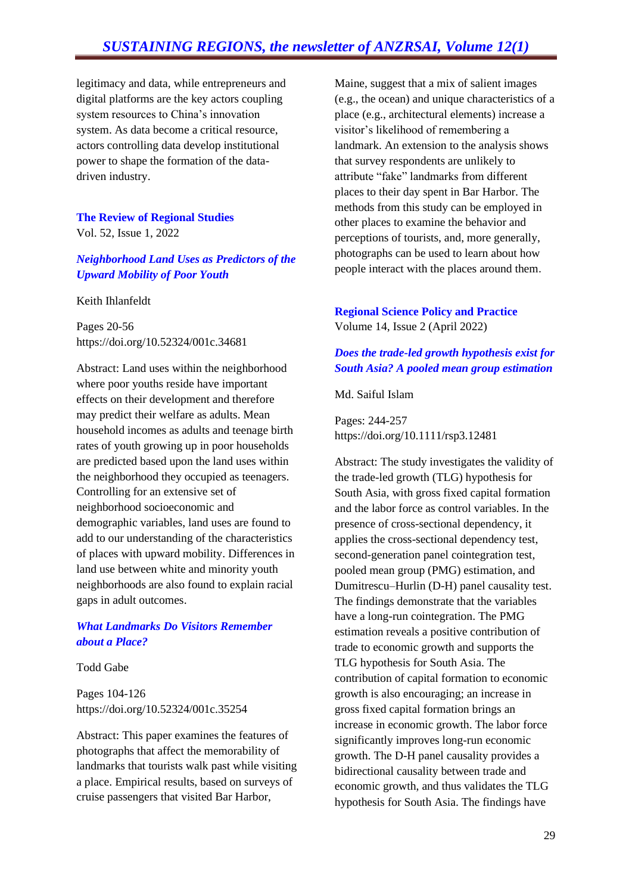legitimacy and data, while entrepreneurs and digital platforms are the key actors coupling system resources to China's innovation system. As data become a critical resource, actors controlling data develop institutional power to shape the formation of the datadriven industry.

# **The Review of Regional Studies**

Vol. 52, Issue 1, 2022

#### *Neighborhood Land Uses as Predictors of the Upward Mobility of Poor Youth*

Keith Ihlanfeldt

Pages 20-56 https://doi.org/10.52324/001c.34681

Abstract: Land uses within the neighborhood where poor youths reside have important effects on their development and therefore may predict their welfare as adults. Mean household incomes as adults and teenage birth rates of youth growing up in poor households are predicted based upon the land uses within the neighborhood they occupied as teenagers. Controlling for an extensive set of neighborhood socioeconomic and demographic variables, land uses are found to add to our understanding of the characteristics of places with upward mobility. Differences in land use between white and minority youth neighborhoods are also found to explain racial gaps in adult outcomes.

#### *What Landmarks Do Visitors Remember about a Place?*

Todd Gabe

Pages 104-126 https://doi.org/10.52324/001c.35254

Abstract: This paper examines the features of photographs that affect the memorability of landmarks that tourists walk past while visiting a place. Empirical results, based on surveys of cruise passengers that visited Bar Harbor,

Maine, suggest that a mix of salient images (e.g., the ocean) and unique characteristics of a place (e.g., architectural elements) increase a visitor's likelihood of remembering a landmark. An extension to the analysis shows that survey respondents are unlikely to attribute "fake" landmarks from different places to their day spent in Bar Harbor. The methods from this study can be employed in other places to examine the behavior and perceptions of tourists, and, more generally, photographs can be used to learn about how people interact with the places around them.

#### **Regional Science Policy and Practice**  Volume 14, Issue 2 (April 2022)

#### *Does the trade-led growth hypothesis exist for South Asia? A pooled mean group estimation*

#### Md. Saiful Islam

Pages: 244-257 https://doi.org/10.1111/rsp3.12481

Abstract: The study investigates the validity of the trade-led growth (TLG) hypothesis for South Asia, with gross fixed capital formation and the labor force as control variables. In the presence of cross-sectional dependency, it applies the cross-sectional dependency test, second-generation panel cointegration test, pooled mean group (PMG) estimation, and Dumitrescu–Hurlin (D-H) panel causality test. The findings demonstrate that the variables have a long-run cointegration. The PMG estimation reveals a positive contribution of trade to economic growth and supports the TLG hypothesis for South Asia. The contribution of capital formation to economic growth is also encouraging; an increase in gross fixed capital formation brings an increase in economic growth. The labor force significantly improves long-run economic growth. The D-H panel causality provides a bidirectional causality between trade and economic growth, and thus validates the TLG hypothesis for South Asia. The findings have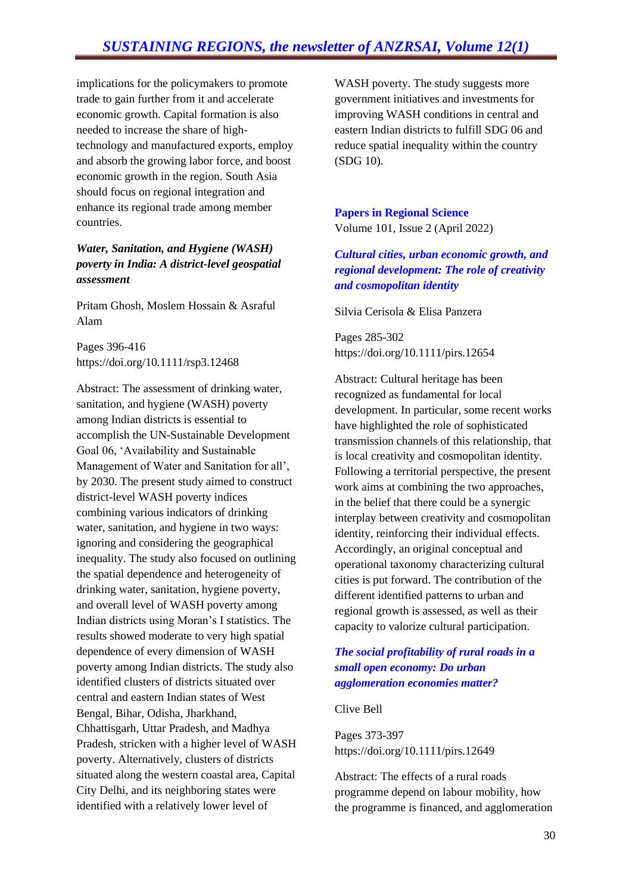implications for the policymakers to promote trade to gain further from it and accelerate economic growth. Capital formation is also needed to increase the share of hightechnology and manufactured exports, employ and absorb the growing labor force, and boost economic growth in the region. South Asia should focus on regional integration and enhance its regional trade among member countries.

#### *Water, Sanitation, and Hygiene (WASH) poverty in India: A district-level geospatial assessment*

Pritam Ghosh, Moslem Hossain & Asraful Alam

Pages 396-416 https://doi.org/10.1111/rsp3.12468

Abstract: The assessment of drinking water, sanitation, and hygiene (WASH) poverty among Indian districts is essential to accomplish the UN-Sustainable Development Goal 06, 'Availability and Sustainable Management of Water and Sanitation for all', by 2030. The present study aimed to construct district-level WASH poverty indices combining various indicators of drinking water, sanitation, and hygiene in two ways: ignoring and considering the geographical inequality. The study also focused on outlining the spatial dependence and heterogeneity of drinking water, sanitation, hygiene poverty, and overall level of WASH poverty among Indian districts using Moran's I statistics. The results showed moderate to very high spatial dependence of every dimension of WASH poverty among Indian districts. The study also identified clusters of districts situated over central and eastern Indian states of West Bengal, Bihar, Odisha, Jharkhand, Chhattisgarh, Uttar Pradesh, and Madhya Pradesh, stricken with a higher level of WASH poverty. Alternatively, clusters of districts situated along the western coastal area, Capital City Delhi, and its neighboring states were identified with a relatively lower level of

WASH poverty. The study suggests more government initiatives and investments for improving WASH conditions in central and eastern Indian districts to fulfill SDG 06 and reduce spatial inequality within the country (SDG 10).

**Papers in Regional Science** Volume 101, Issue 2 (April 2022)

*Cultural cities, urban economic growth, and regional development: The role of creativity and cosmopolitan identity*

Silvia Cerisola & Elisa Panzera

Pages 285-302 https://doi.org/10.1111/pirs.12654

Abstract: Cultural heritage has been recognized as fundamental for local development. In particular, some recent works have highlighted the role of sophisticated transmission channels of this relationship, that is local creativity and cosmopolitan identity. Following a territorial perspective, the present work aims at combining the two approaches, in the belief that there could be a synergic interplay between creativity and cosmopolitan identity, reinforcing their individual effects. Accordingly, an original conceptual and operational taxonomy characterizing cultural cities is put forward. The contribution of the different identified patterns to urban and regional growth is assessed, as well as their capacity to valorize cultural participation.

#### *The social profitability of rural roads in a small open economy: Do urban agglomeration economies matter?*

Clive Bell

Pages 373-397 https://doi.org/10.1111/pirs.12649

Abstract: The effects of a rural roads programme depend on labour mobility, how the programme is financed, and agglomeration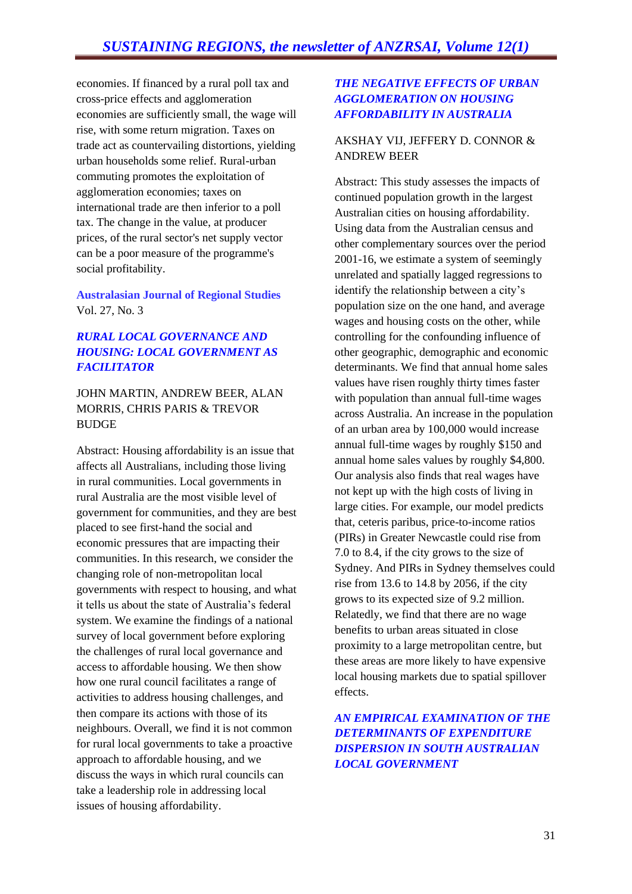economies. If financed by a rural poll tax and cross-price effects and agglomeration economies are sufficiently small, the wage will rise, with some return migration. Taxes on trade act as countervailing distortions, yielding urban households some relief. Rural-urban commuting promotes the exploitation of agglomeration economies; taxes on international trade are then inferior to a poll tax. The change in the value, at producer prices, of the rural sector's net supply vector can be a poor measure of the programme's social profitability.

**Australasian Journal of Regional Studies** Vol. 27, No. 3

#### *RURAL LOCAL GOVERNANCE AND HOUSING: LOCAL GOVERNMENT AS FACILITATOR*

#### JOHN MARTIN, ANDREW BEER, ALAN MORRIS, CHRIS PARIS & TREVOR BUDGE

Abstract: Housing affordability is an issue that affects all Australians, including those living in rural communities. Local governments in rural Australia are the most visible level of government for communities, and they are best placed to see first-hand the social and economic pressures that are impacting their communities. In this research, we consider the changing role of non-metropolitan local governments with respect to housing, and what it tells us about the state of Australia's federal system. We examine the findings of a national survey of local government before exploring the challenges of rural local governance and access to affordable housing. We then show how one rural council facilitates a range of activities to address housing challenges, and then compare its actions with those of its neighbours. Overall, we find it is not common for rural local governments to take a proactive approach to affordable housing, and we discuss the ways in which rural councils can take a leadership role in addressing local issues of housing affordability.

#### *THE NEGATIVE EFFECTS OF URBAN AGGLOMERATION ON HOUSING AFFORDABILITY IN AUSTRALIA*

#### AKSHAY VIJ, JEFFERY D. CONNOR & ANDREW BEER

Abstract: This study assesses the impacts of continued population growth in the largest Australian cities on housing affordability. Using data from the Australian census and other complementary sources over the period 2001-16, we estimate a system of seemingly unrelated and spatially lagged regressions to identify the relationship between a city's population size on the one hand, and average wages and housing costs on the other, while controlling for the confounding influence of other geographic, demographic and economic determinants. We find that annual home sales values have risen roughly thirty times faster with population than annual full-time wages across Australia. An increase in the population of an urban area by 100,000 would increase annual full-time wages by roughly \$150 and annual home sales values by roughly \$4,800. Our analysis also finds that real wages have not kept up with the high costs of living in large cities. For example, our model predicts that, ceteris paribus, price-to-income ratios (PIRs) in Greater Newcastle could rise from 7.0 to 8.4, if the city grows to the size of Sydney. And PIRs in Sydney themselves could rise from 13.6 to 14.8 by 2056, if the city grows to its expected size of 9.2 million. Relatedly, we find that there are no wage benefits to urban areas situated in close proximity to a large metropolitan centre, but these areas are more likely to have expensive local housing markets due to spatial spillover effects.

*AN EMPIRICAL EXAMINATION OF THE DETERMINANTS OF EXPENDITURE DISPERSION IN SOUTH AUSTRALIAN LOCAL GOVERNMENT*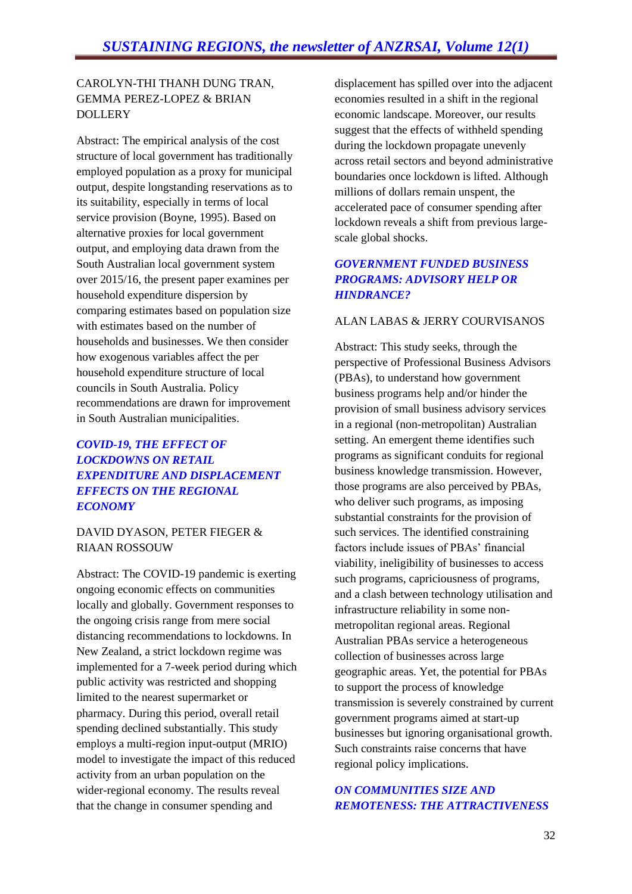#### CAROLYN-THI THANH DUNG TRAN, GEMMA PEREZ-LOPEZ & BRIAN **DOLLERY**

Abstract: The empirical analysis of the cost structure of local government has traditionally employed population as a proxy for municipal output, despite longstanding reservations as to its suitability, especially in terms of local service provision (Boyne, 1995). Based on alternative proxies for local government output, and employing data drawn from the South Australian local government system over 2015/16, the present paper examines per household expenditure dispersion by comparing estimates based on population size with estimates based on the number of households and businesses. We then consider how exogenous variables affect the per household expenditure structure of local councils in South Australia. Policy recommendations are drawn for improvement in South Australian municipalities.

#### *COVID-19, THE EFFECT OF LOCKDOWNS ON RETAIL EXPENDITURE AND DISPLACEMENT EFFECTS ON THE REGIONAL ECONOMY*

#### DAVID DYASON, PETER FIEGER & RIAAN ROSSOUW

Abstract: The COVID-19 pandemic is exerting ongoing economic effects on communities locally and globally. Government responses to the ongoing crisis range from mere social distancing recommendations to lockdowns. In New Zealand, a strict lockdown regime was implemented for a 7-week period during which public activity was restricted and shopping limited to the nearest supermarket or pharmacy. During this period, overall retail spending declined substantially. This study employs a multi-region input-output (MRIO) model to investigate the impact of this reduced activity from an urban population on the wider-regional economy. The results reveal that the change in consumer spending and

displacement has spilled over into the adjacent economies resulted in a shift in the regional economic landscape. Moreover, our results suggest that the effects of withheld spending during the lockdown propagate unevenly across retail sectors and beyond administrative boundaries once lockdown is lifted. Although millions of dollars remain unspent, the accelerated pace of consumer spending after lockdown reveals a shift from previous largescale global shocks.

#### *GOVERNMENT FUNDED BUSINESS PROGRAMS: ADVISORY HELP OR HINDRANCE?*

#### ALAN LABAS & JERRY COURVISANOS

Abstract: This study seeks, through the perspective of Professional Business Advisors (PBAs), to understand how government business programs help and/or hinder the provision of small business advisory services in a regional (non-metropolitan) Australian setting. An emergent theme identifies such programs as significant conduits for regional business knowledge transmission. However, those programs are also perceived by PBAs, who deliver such programs, as imposing substantial constraints for the provision of such services. The identified constraining factors include issues of PBAs' financial viability, ineligibility of businesses to access such programs, capriciousness of programs, and a clash between technology utilisation and infrastructure reliability in some nonmetropolitan regional areas. Regional Australian PBAs service a heterogeneous collection of businesses across large geographic areas. Yet, the potential for PBAs to support the process of knowledge transmission is severely constrained by current government programs aimed at start-up businesses but ignoring organisational growth. Such constraints raise concerns that have regional policy implications.

#### *ON COMMUNITIES SIZE AND REMOTENESS: THE ATTRACTIVENESS*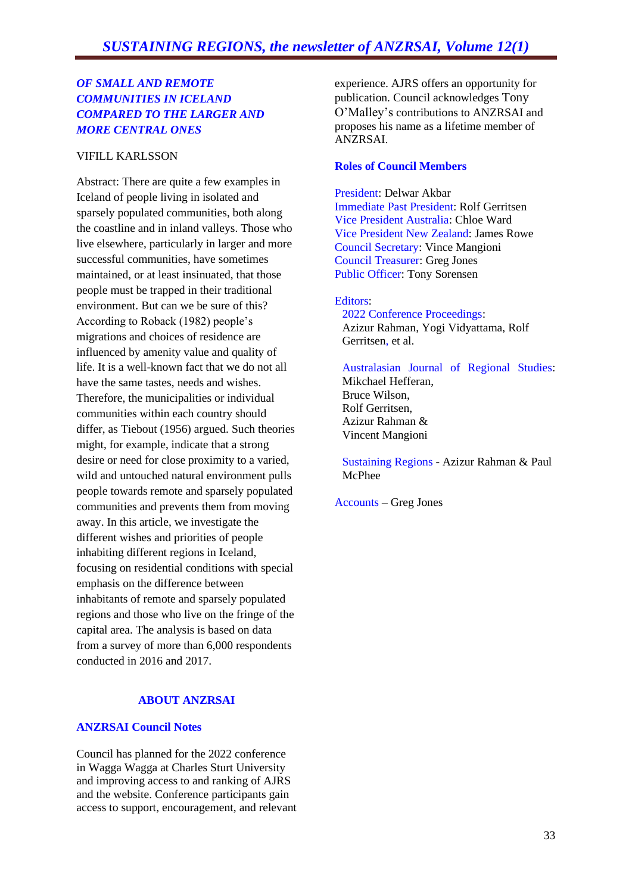#### *OF SMALL AND REMOTE COMMUNITIES IN ICELAND COMPARED TO THE LARGER AND MORE CENTRAL ONES*

#### VIFILL KARLSSON

Abstract: There are quite a few examples in Iceland of people living in isolated and sparsely populated communities, both along the coastline and in inland valleys. Those who live elsewhere, particularly in larger and more successful communities, have sometimes maintained, or at least insinuated, that those people must be trapped in their traditional environment. But can we be sure of this? According to Roback (1982) people's migrations and choices of residence are influenced by amenity value and quality of life. It is a well-known fact that we do not all have the same tastes, needs and wishes. Therefore, the municipalities or individual communities within each country should differ, as Tiebout (1956) argued. Such theories might, for example, indicate that a strong desire or need for close proximity to a varied, wild and untouched natural environment pulls people towards remote and sparsely populated communities and prevents them from moving away. In this article, we investigate the different wishes and priorities of people inhabiting different regions in Iceland, focusing on residential conditions with special emphasis on the difference between inhabitants of remote and sparsely populated regions and those who live on the fringe of the capital area. The analysis is based on data from a survey of more than 6,000 respondents conducted in 2016 and 2017.

#### **ABOUT ANZRSAI**

#### **ANZRSAI Council Notes**

Council has planned for the 2022 conference in Wagga Wagga at Charles Sturt University and improving access to and ranking of AJRS and the website. Conference participants gain access to support, encouragement, and relevant

experience. AJRS offers an opportunity for publication. Council acknowledges Tony O'Malley's contributions to ANZRSAI and proposes his name as a lifetime member of ANZRSAI.

#### **Roles of Council Members**

President: Delwar Akbar Immediate Past President: Rolf Gerritsen Vice President Australia: Chloe Ward Vice President New Zealand: James Rowe Council Secretary: Vince Mangioni Council Treasurer: Greg Jones Public Officer: Tony Sorensen

#### Editors:

2022 Conference Proceedings: Azizur Rahman, Yogi Vidyattama, Rolf Gerritsen, et al.

Australasian Journal of Regional Studies: Mikchael Hefferan, Bruce Wilson, Rolf Gerritsen, Azizur Rahman & Vincent Mangioni

Sustaining Regions - Azizur Rahman & Paul McPhee

Accounts – Greg Jones